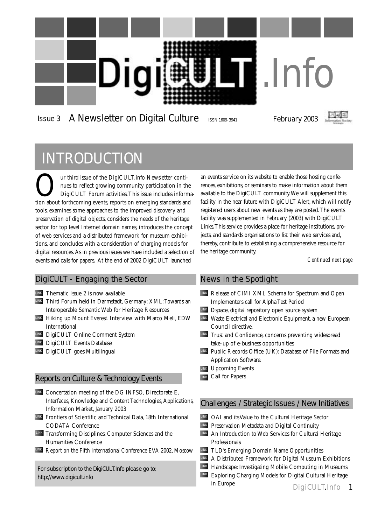

### Issue 3 A Newsletter on Digital Culture ISSN 1609-3941 February 2003



### INTRODUCTION

Our third issue of the DigiCULT.info Newsletter continues to reflect growing community participation in the DigiCULT Forum activities. This issue includes inform nues to reflect growing community participation in the DigiCULT Forum activities.This issue includes information about forthcoming events, reports on emerging standards and tools, examines some approaches to the improved discovery and preservation of digital objects, considers the needs of the heritage sector for top level Internet domain names, introduces the concept of web services and a distributed framework for museum exhibitions, and concludes with a consideration of charging models for digital resources.As in previous issues we have included a selection of events and calls for papers. At the end of 2002 DigiCULT launched

#### DigiCULT - Engaging the Sector

Thematic Issue 2 is now available LINK

- LINK Third Forum held in Darmstadt, Germany: XML: Towards an Interoperable Semantic Web for Heritage Resources
- LINK Hiking up Mount Everest. Interview with Marco Meli, EDW International
- LINK DigiCULT Online Comment System
- LINK DigiCULT Events Database
- LINK DigiCULT goes Multilingual

#### Reports on Culture & Technology Events

- Concertation meeting of the DG INFSO, Directorate E, LINK Interfaces, Knowledge and Content Technologies, Applications, Information Market, January 2003
- Frontiers of Scientific and Technical Data, 18th International LINK CODATA Conference
- LINK Transforming Disciplines: Computer Sciences and the Humanities Conference
- LINK Report on the Fifth International Conference EVA 2002, Moscow

For subscription to the DigiCULT.Info please go to: <http://www.digicult.info>

an events service on its website to enable those hosting conferences, exhibitions, or seminars to make information about them available to the DigiCULT community.We will supplement this facility in the near future with DigiCULT Alert, which will notify registered users about new events as they are posted.The events facility was supplemented in February (2003) with DigiCULT Links.This service provides a place for heritage institutions, projects, and standards organisations to list their web services and, thereby, contribute to establishing a comprehensive resource for the heritage community.

*Continued next page*

#### News in the Spotlight

- LINK Release of CIMI XML Schema for Spectrum and Open Implementers call for Alpha Test Period
- **LINK** Dspace, digital repository open source system
- LINK Waste Electrical and Electronic Equipment, a new European Council directive.
- LINK Trust and Confidence, concerns preventing widespread take-up of e-business opportunities
- Public Records Office (UK): Database of File Formats and LINK Application Software.
- LINK Upcoming Events
- Call for Papers LINK

#### Challenges / Strategic Issues / New Initiatives

- OAI and its Value to the Cultural Heritage Sector LINK
- LINK Preservation Metadata and Digital Continuity
- An Introduction to Web Services for Cultural Heritage LINK Professionals

TLD's Emerging Domain Name Opportunities LINK

- LINK A Distributed Framework for Digital Museum Exhibitions
- LINK Handscape: Investigating Mobile Computing in Museums
- LINK Exploring Charging Models for Digital Cultural Heritage in Europe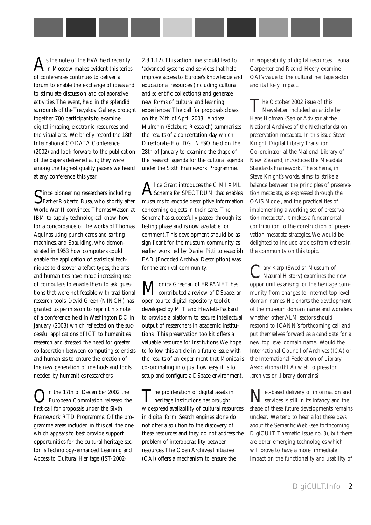s the note of the EVA held recently in Moscow makes evident this series of conferences continues to deliver a forum to enable the exchange of ideas and to stimulate discussion and collaborative activities.The event, held in the splendid surrounds of the Tretyakov Gallery, brought together 700 participants to examine digital imaging, electronic resources and the visual arts. We briefly record the 18th International CODATA Conference (2002) and look forward to the publication of the papers delivered at it; they were among the highest quality papers we heard at any conference this year.

Since pioneering researchers including **J**Father Roberto Busa, who shortly after World War II convinced Thomas Watson at IBM to supply technological know-how for a concordance of the works of Thomas Aquinas using punch cards and sorting machines, and Spaulding, who demonstrated in 1953 how computers could enable the application of statistical techniques to discover artefact types, the arts and humanities have made increasing use of computers to enable them to ask questions that were not feasible with traditional research tools. David Green (NINCH) has granted us permission to reprint his note of a conference held in Washington DC in January (2003) which reflected on the successful applications of ICT to humanities research and stressed the need for greater collaboration between computing scientists and humanists to ensure the creation of the new generation of methods and tools needed by humanities researchers.

On the 17th of December 2002 the<br>European Commission released the first call for proposals under the Sixth Framework RTD Programme. Of the programme areas included in this call the one which appears to best provide support opportunities for the cultural heritage sector is Technology-enhanced Learning and Access to Cultural Heritage (IST-2002-

2.3.1.12).This action line should lead to 'advanced systems and services that help improve access to Europe's knowledge and educational resources (including cultural and scientific collections) and generate new forms of cultural and learning experiences.'The call for proposals closes on the 24th of April 2003. Andrea Mulrenin (Salzburg Research) summarises the results of a concertation day which Directorate-E of DG INFSO held on the 28th of January to examine the shape of the research agenda for the cultural agenda under the Sixth Framework Programme.

Alice Grant introduces the CIMI XML<br>Schema for SPECTRUM that enables museums to encode descriptive information concerning objects in their care. The Schema has successfully passed through its testing phase and is now available for comment.This development should be as significant for the museum community as earlier work led by Daniel Pitti to establish EAD (Encoded Archival Description) was for the archival community.

Monica Greenan of ERPANET has  $\mathbf{L}$  contributed a review of DSpace, an open source digital repository toolkit developed by MIT and Hewlett-Packard to provide a platform to secure intellectual output of researchers in academic institutions. This preservation toolkit offers a valuable resource for institutions.We hope to follow this article in a future issue with the results of an experiment that Monica is co-ordinating into just how easy it is to setup and configure a DSpace environment.

The proliferation of digital assets in heritage institutions has brought widespread availability of cultural resources in digital form. Search engines alone do not offer a solution to the discovery of these resources and they do not address the problem of interoperability between resources.The Open Archives Initiative (OAI) offers a mechanism to ensure the

interoperability of digital resources. Leona Carpenter and Rachel Heery examine OAI's value to the cultural heritage sector and its likely impact.

The October 2002 issue of this<br>Newsletter included an article by Hans Hofman (Senior Advisor at the National Archives of the Netherlands) on preservation metadata. In this issue Steve Knight, Digital Library Transition Co-ordinator at the National Library of New Zealand, introduces the Metadata Standards Framework.The schema, in Steve Knight's words, aims 'to strike a balance between the principles of preservation metadata, as expressed through the OAIS Model, and the practicalities of implementing a working set of preservation metadata'. It makes a fundamental contribution to the construction of preservation metadata strategies.We would be delighted to include articles from others in the community on this topic.

Cary Karp (Swedish Museum of Natural History) examines the new opportunities arising for the heritage community from changes to Internet top level domain names. He charts the development of the museum domain name and wonders whether other ALM sectors should respond to ICANN's forthcoming call and put themselves forward as a candidate for a new top level domain name. Would the International Council of Archives (ICA) or the International Federation of Library Associations (IFLA) wish to press for .archives or .library domains?

Tet-based delivery of information and Services is still in its infancy and the shape of these future developments remains unclear. We tend to hear a lot these days about the Semantic Web (see forthcoming DigiCULT Thematic Issue no. 3), but there are other emerging technologies which will prove to have a more immediate impact on the functionality and usability of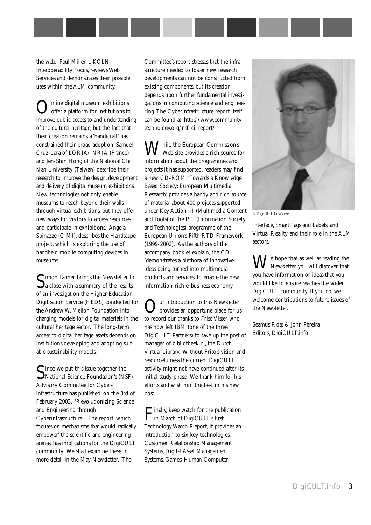the web. Paul Miller, UKOLN Interoperability Focus, reviews Web Services and demonstrates their possible uses within the ALM community.

Online digital museum exhibitions<br>offer a platform for institutions to improve public access to and understanding of the cultural heritage, but the fact that their creation remains a 'handicraft' has constrained their broad adoption. Samuel Cruz-Lara of LORIA/INRIA (France) and Jen-Shin Hong of the National Chi Nan University (Taiwan) describe their research to improve the design, development and delivery of digital museum exhibitions. New technologies not only enable museums to reach beyond their walls through virtual exhibitions, but they offer new ways for visitors to access resources and participate in exhibitions. Angela Spinazze (CIMI), describes the Handscape project, which is exploring the use of handheld mobile computing devices in museums.

 $S_{\text{a close with a summary of the results}}$ of an investigation the Higher Education Digitisation Service (HEDS) conducted for the Andrew W. Mellon Foundation into charging models for digital materials in the cultural heritage sector. The long-term access to digital heritage assets depends on institutions developing and adopting suitable sustainability models.

Cince we put this issue together the National Science Foundation's (NSF) Advisory Committee for Cyberinfrastructure has published, on the 3rd of February 2003, 'Revolutionizing Science and Engineering through Cyberinfrastructure'. The report, which focuses on mechanisms that would 'radically empower' the scientific and engineering arenas, has implications for the DigiCULT community. We shall examine these in more detail in the May Newsletter. The

Committee's report stresses that the infrastructure needed to foster new research developments can not be constructed from existing components, but its creation depends upon further fundamental investigations in computing science and engineering.The Cyberinfrastructure report itself [can be found at: http://www.community](http://www.communitytechnology.org/nsf_ci_report/)technology.org/nsf\_ci\_report/

While the European Commission's Web site provides a rich source for information about the programmes and projects it has supported, readers may find a new CD-ROM:'Towards a Knowledge Based Society: European Multimedia Research' provides a handy and rich source of material about 400 projects supported under Key Action III (Multimedia Content and Tools) of the IST (Information Society and Technologies) programme of the European Union's Fifth RTD Framework (1999-2002). As the authors of the accompany booklet explain, the CD 'demonstrates a plethora of innovative ideas being turned into multimedia products and services' to enable the new information-rich e-business economy.

Our introduction to this Newsletter<br>provides an opportune place for us to record our thanks to Friso Visser who has now left IBM (one of the three DigiCULT Partners) to take up the post of manager of bibliotheek.nl, the Dutch Virtual Library. Without Friso's vision and resourcefulness the current DigiCULT activity might not have continued after its initial study phase. We thank him for his efforts and wish him the best in his new post.

Finally, keep watch for the publication in March of DigiCULT's first Technology Watch Report, it provides an introduction to six key technologies: Customer Relationship Management Systems, Digital Asset Management Systems, Games, Human Computer



*© DigiCULT Friso Visser*

Interface, Smart Tags and Labels, and Virtual Reality and their role in the ALM sectors.

 $\sum_{n=1}^{\infty} I_n$  hope that as well as reading the Newsletter you will discover that you have information or ideas that you would like to ensure reaches the wider DigiCULT community. If you do, we welcome contributions to future issues of the Newsletter.

Seamus Ross & John Pereira Editors, DigiCULT.info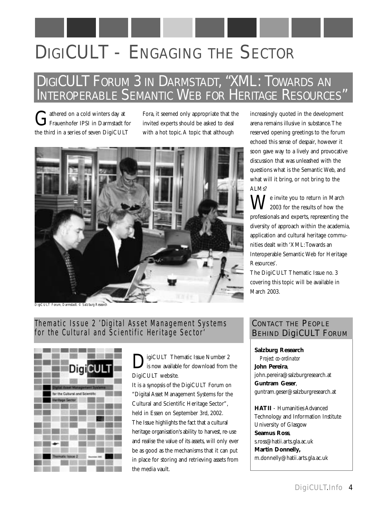# DIGICULT - ENGAGING THE SECTOR

### DIGICULT FORUM 3 IN DARMSTADT, "XML: TOWARDS AN INTEROPERABLE SEMANTIC WEB FOR HERITAGE RESOURCES"

Gathered on a cold winters day at<br>
Frauenhofer IPSI in Darmstadt for the third in a series of seven DigiCULT

Fora, it seemed only appropriate that the invited experts should be asked to deal with a hot topic.A topic that although



increasingly quoted in the development arena remains illusive in substance.The reserved opening greetings to the forum echoed this sense of despair, however it soon gave way to a lively and provocative discussion that was unleashed with the questions what is the Semantic Web, and what will it bring, or not bring to the ALMs?

 $\sum \sum$   $\bm{V}$ e invite you to return in March 2003 for the results of how the professionals and experts, representing the diversity of approach within the academia, application and cultural heritage communities dealt with 'XML:Towards an Interoperable Semantic Web for Heritage Resources'.

The DigiCULT Thematic Issue no. 3 covering this topic will be available in March 2003.

*DigiCULT Forum, Darmstadt. © Salzburg Research*

#### Thematic Issue 2 'Digital Asset Management Systems for the Cultural and Scientific Heritage Sector'



**D**igiCULT Thematic Issue Number 2 is now available for download from the DigiCULT website.

It is a synopsis of the DigiCULT Forum on "Digital Asset Management Systems for the Cultural and Scientific Heritage Sector", held in Essen on September 3rd, 2002. The Issue highlights the fact that a cultural heritage organisation's ability to harvest, re-use and realise the value of its assets, will only ever be as good as the mechanisms that it can put in place for storing and retrieving assets from the media vault.

#### CONTACT THE PEOPLE BEHIND DigiCULT FORUM

**Salzburg Research** *Project co-ordinator* **John Pereira**, john.pereira@salzburgresearch.at **Guntram Geser**, guntram.geser@salzburgresearch.at

**HATII** - Humanities Advanced Technology and Information Institute University of Glasgow **Seamus Ross**, s.ross@hatii.arts.gla.ac.uk **Martin Donnelly,** m.donnelly@hatii.arts.gla.ac.uk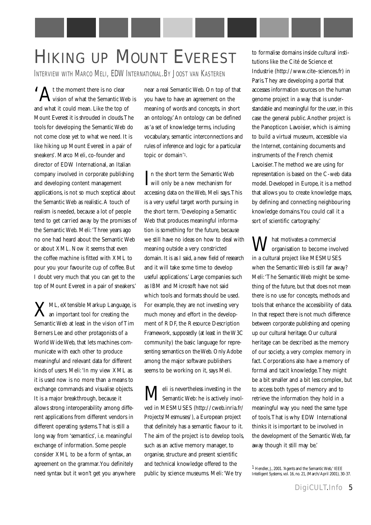# HIKING UP MOUNT EVEREST to formalise domains inside cultural insti-

INTERVIEW WITH MARCO MELI, EDW INTERNATIONAL.BY JOOST VAN KASTEREN

 $\bigwedge$  t the moment there is no clear **L**vision of what the Semantic Web is and what it could mean. Like the top of Mount Everest it is shrouded in clouds.The tools for developing the Semantic Web do not come close yet to what we need. It is like hiking up Mount Everest in a pair of sneakers'. Marco Meli, co-founder and director of EDW International, an Italian company involved in corporate publishing and developing content management applications, is not so much sceptical about the Semantic Web as realistic.A touch of realism is needed, because a lot of people tend to get carried away by the promises of the Semantic Web. Meli:'Three years ago no one had heard about the Semantic Web or about XML. Now it seems that even the coffee machine is fitted with XML to pour you your favourite cup of coffee. But I doubt very much that you can get to the top of Mount Everest in a pair of sneakers.'

**ZML, eXtensible Markup Language, is** an important tool for creating the Semantic Web at least in the vision of Tim Berners Lee and other protagonists of a World Wide Web, that lets machines communicate with each other to produce meaningful and relevant data for different kinds of users. Meli:'In my view XML as it is used now is no more than a means to exchange commands and visualise objects. It is a major breakthrough, because it allows strong interoperability among different applications from different vendors in different operating systems.That is still a long way from 'semantics', i.e. meaningful exchange of information. Some people consider XML to be a form of syntax, an agreement on the grammar.You definitely need syntax but it won't get you anywhere

near a real Semantic Web. On top of that you have to have an agreement on the meaning of words and concepts, in short an ontology.'An ontology can be defined as 'a set of knowledge terms, including vocabulary, semantic interconnections and rules of inference and logic for a particular topic or domain'1.

 $\prod$ n the short term the Semantic We<br>Will only be a new mechanism for Tn the short term the Semantic Web accessing data on the Web, Meli says.This is a very useful target worth pursuing in the short term.'Developing a Semantic Web that produces meaningful information is something for the future, because we still have no ideas on how to deal with meaning outside a very constricted domain. It is as I said, a new field of research and it will take some time to develop useful applications.' Large companies such as IBM and Microsoft have not said which tools and formats should be used. For example, they are not investing very much money and effort in the development of RDF, the Resource Description Framework, supposedly (at least in the W3C community) the basic language for representing semantics on the Web. Only Adobe among the major software publishers seems to be working on it, says Meli.

 $\mathbf{M}^{\text{eli is nevertheless investing in the}}$ Semantic Web: he is actively involved in MESMUSES (<http://cweb.inria.fr/> Projects/Mesmuses/), a European project that definitely has a semantic flavour to it. The aim of the project is to develop tools, such as an active memory manager, to organise, structure and present scientific and technical knowledge offered to the public by science museums. Meli:'We try

tutions like the Cité de Science et Industrie [\(http://www.cite–sciences.fr\)](http://www.cite%E2%80%93sciences.fr%00) in Paris.They are developing a portal that accesses information sources on the human genome project in a way that is understandable and meaningful for the user, in this case the general public.Another project is the Panopticon Lavoisier, which is aiming to build a virtual museum, accessible via the Internet, containing documents and instruments of the French chemist Lavoisier.The method we are using for representation is based on the C-web data model. Developed in Europe, it is a method that allows you to create knowledge maps, by defining and connecting neighbouring knowledge domains.You could call it a sort of scientific cartography.'

 $\int$  hat motivates a commercial organisation to become involved in a cultural project like MESMUSES when the Semantic Web is still far away? Meli:'The Semantic Web might be something of the future, but that does not mean there is no use for concepts, methods and tools that enhance the accessibility of data. In that respect there is not much difference between corporate publishing and opening up our cultural heritage. Our cultural heritage can be described as the memory of our society, a very complex memory in fact. Corporations also have a memory of formal and tacit knowledge.They might be a bit smaller and a bit less complex, but to access both types of memory and to retrieve the information they hold in a meaningful way you need the same type of tools.That is why EDW International thinks it is important to be involved in the development of the Semantic Web, far away though it still may be.'

<sup>1</sup> Hendler, J., 2001. 'Agents and the Semantic Web,' IEEE Intelligent Systems, vol. 16, no. 21, (March/April 2001), 30-37.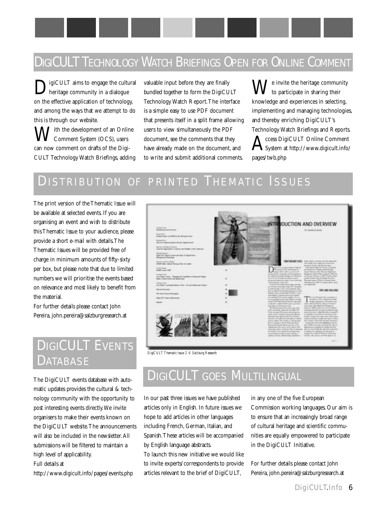### DIGICULT TECHNOLOGY WATCH BRIEFINGS OPEN FOR ONLINE COMMENT

igiCULT aims to engage the cultural heritage community in a dialogue on the effective application of technology, and among the ways that we attempt to do this is through our website.

*Tith* the development of an Online Comment System (OCS), users can now comment on drafts of the Digi-CULT Technology Watch Briefings, adding valuable input before they are finally bundled together to form the DigiCULT Technology Watch Report.The interface is a simple easy to use PDF document that presents itself in a split frame allowing users to view simultaneously the PDF document, see the comments that they have already made on the document, and to write and submit additional comments.

 $\sum$   $\bm{V}$  invite the heritage community to participate in sharing their knowledge and experiences in selecting, implementing and managing technologies, and thereby enriching DigiCULT's

Technology Watch Briefings and Reports.  ${\displaystyle \bigwedge \nolimits_{\text{System at http://www.digicult.info/}}$ pages/twb.php

### DISTRIBUTION OF PRINTED THEMATIC ISSUES

The print version of the Thematic Issue will be available at selected events. If you are organising an event and wish to distribute this Thematic Issue to your audience, please provide a short e-mail with details.The Thematic Issues will be provided free of charge in minimum amounts of fifty-sixty per box, but please note that due to limited numbers we will prioritise the events based on relevance and most likely to benefit from the material.

For further details please contact John Pereira, john.pereira@salzburgresearch.at

### DIGICULT EVENTS DATABASE

The DigiCULT events database with automatic updates provides the cultural & technology community with the opportunity to post interesting events directly.We invite organisers to make their events known on the DigiCULT website.The announcements will also be included in the newsletter.All submissions will be filtered to maintain a high level of applicability.

Full details at

<http://www.digicult.info/pages/events.php>



*DigiCULT Thematic Issue 2 © Salzburg Research*

### DIGICULT GOES MULTILINGUAL

In our past three issues we have published articles only in English. In future issues we hope to add articles in other languages including French, German, Italian, and Spanish.These articles will be accompanied by English language abstracts.

To launch this new initiative we would like to invite experts/correspondents to provide articles relevant to the brief of DigiCULT,

in any one of the five European Commission working languages. Our aim is to ensure that an increasingly broad range of cultural heritage and scientific communities are equally empowered to participate in the DigiCULT Initiative.

For further details please contact John Pereira, john.pereira@salzburgresearch.at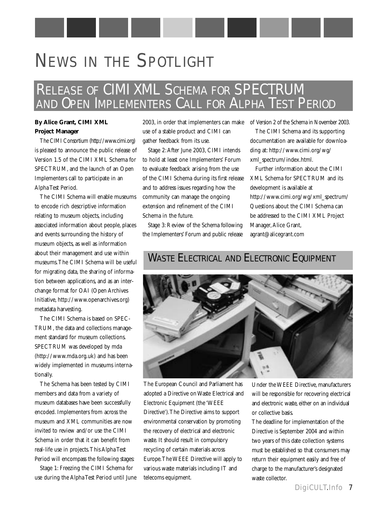# NEWS IN THE SPOTLIGHT

### RELEASE OF CIMI XML SCHEMA FOR SPECTRUM AND OPEN IMPLEMENTERS CALL FOR ALPHA TEST PERIOD

#### **By Alice Grant, CIMI XML Project Manager**

The CIMI Consortium [\(http://www.cimi.org\)](http://www.cimi.org) is pleased to announce the public release of Version 1.5 of the CIMI XML Schema for SPECTRUM, and the launch of an Open Implementers call to participate in an Alpha Test Period.

The CIMI Schema will enable museums to encode rich descriptive information relating to museum objects, including associated information about people, places and events surrounding the history of museum objects, as well as information about their management and use within museums.The CIMI Schema will be useful for migrating data, the sharing of information between applications, and as an interchange format for OAI (Open Archives Initiative, [http://www.openarchives.org\)](http://www.openarchives.org) metadata harvesting.

The CIMI Schema is based on SPEC-TRUM, the data and collections management standard for museum collections. SPECTRUM was developed by mda [\(http://www.mda.org.uk\)](http://www.mda.org.uk) and has been widely implemented in museums internationally.

The Schema has been tested by CIMI members and data from a variety of museum databases have been successfully encoded. Implementers from across the museum and XML communities are now invited to review and/or use the CIMI Schema in order that it can benefit from real-life use in projects.This Alpha Test Period will encompass the following stages:

Stage 1: Freezing the CIMI Schema for use during the Alpha Test Period until June use of a stable product and CIMI can gather feedback from its use.

Stage 2:After June 2003, CIMI intends to hold at least one Implementers' Forum to evaluate feedback arising from the use of the CIMI Schema during its first release and to address issues regarding how the community can manage the ongoing extension and refinement of the CIMI Schema in the future.

Stage 3: Review of the Schema following the Implementers' Forum and public release

2003, in order that implementers can make of Version 2 of the Schema in November 2003.

The CIMI Schema and its supporting documentation are available for downloading at:<http://www.cimi.org/wg/> xml\_spectrum/index.html.

Further information about the CIMI XML Schema for SPECTRUM and its development is available at [http://www.cimi.org/wg/xml\\_spectrum/](http://www.cimi.org/wg/xml_spectrum/) Questions about the CIMI Schema can be addressed to the CIMI XML Project Manager, Alice Grant, agrant@alicegrant.com

### WASTE ELECTRICAL AND ELECTRONIC EQUIPMENT



The European Council and Parliament has adopted a Directive on Waste Electrical and Electronic Equipment (the 'WEEE Directive').The Directive aims to support environmental conservation by promoting the recovery of electrical and electronic waste. It should result in compulsory recycling of certain materials across Europe.The WEEE Directive will apply to various waste materials including IT and telecoms equipment.

Under the WEEE Directive, manufacturers will be responsible for recovering electrical and electronic waste, either on an individual or collective basis.

The deadline for implementation of the Directive is September 2004 and within two years of this date collection systems must be established so that consumers may return their equipment easily and free of charge to the manufacturer's designated waste collector.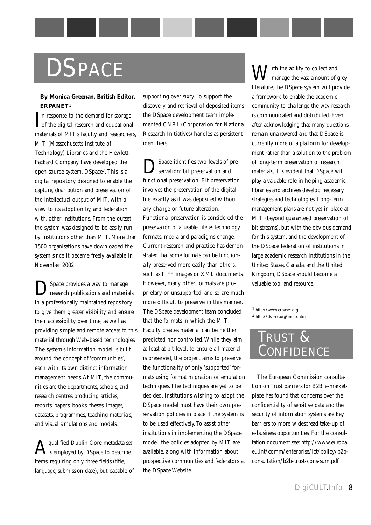# **DSPACE**

#### **By Monica Greenan, British Editor, ERPANET**1

In response to the demand for storage<br>of the digital research and educational In response to the demand for storage materials of MIT's faculty and researchers, MIT (Massachusetts Institute of Technology) Libraries and the Hewlett-Packard Company have developed the open source system, DSpace2.This is a digital repository designed to enable the capture, distribution and preservation of the intellectual output of MIT, with a view to its adoption by, and federation with, other institutions. From the outset, the system was designed to be easily run by institutions other than MIT. More than 1500 organisations have downloaded the system since it became freely available in November 2002.

Space provides a way to manage research publications and materials in a professionally maintained repository to give them greater visibility and ensure their accessibility over time, as well as providing simple and remote access to this material through Web-based technologies. The system's information model is built around the concept of 'communities', each with its own distinct information management needs. At MIT, the communities are the departments, schools, and research centres producing articles, reports, papers, books, theses, images, datasets, programmes, teaching materials, and visual simulations and models.

 $\mathbf A$  qualified Dublin Core metadata set<br>is employed by DSpace to describe items, requiring only three fields (title, language, submission date), but capable of supporting over sixty.To support the discovery and retrieval of deposited items the DSpace development team implemented CNRI (Corporation for National Research Initiatives) handles as persistent identifiers.

Space identifies two levels of preservation: bit preservation and functional preservation. Bit preservation involves the preservation of the digital file exactly as it was deposited without any change or future alteration. Functional preservation is considered the preservation of a 'usable' file as technology formats, media and paradigms change. Current research and practice has demonstrated that some formats can be functionally preserved more easily than others, such as TIFF images or XML documents. However, many other formats are proprietary or unsupported, and so are much more difficult to preserve in this manner. The DSpace development team concluded that the formats in which the MIT Faculty creates material can be neither predicted nor controlled.While they aim, at least at bit level, to ensure all material is preserved, the project aims to preserve the functionality of only 'supported' formats using format migration or emulation techniques.The techniques are yet to be decided. Institutions wishing to adopt the DSpace model must have their own preservation policies in place if the system is to be used effectively.To assist other institutions in implementing the DSpace model, the policies adopted by MIT are available, along with information about prospective communities and federators at the DSpace Website.

 $\overline{J}$ ith the ability to collect and manage the vast amount of grey literature, the DSpace system will provide a framework to enable the academic community to challenge the way research is communicated and distributed. Even after acknowledging that many questions remain unanswered and that DSpace is currently more of a platform for development rather than a solution to the problem of long-term preservation of research materials, it is evident that DSpace will play a valuable role in helping academic libraries and archives develop necessary strategies and technologies. Long-term management plans are not yet in place at MIT (beyond guaranteed preservation of bit streams), but with the obvious demand for this system, and the development of the DSpace federation of institutions in large academic research institutions in the United States, Canada, and the United Kingdom, DSpace should become a valuable tool and resource.

1 <http://www.erpanet.org>  $^2$ http://dspace.org/index.html

### TRUST & CONFIDENCE

The European Commission consultation on Trust barriers for B2B e-marketplace has found that concerns over the confidentiality of sensitive data and the security of information systems are key barriers to more widespread take-up of e-business opportunities. For the consultation document see: [http://www.europa.](http://www.europa) eu.int/comm/enterprise/ict/policy/b2bconsultation/b2b-trust-cons-sum.pdf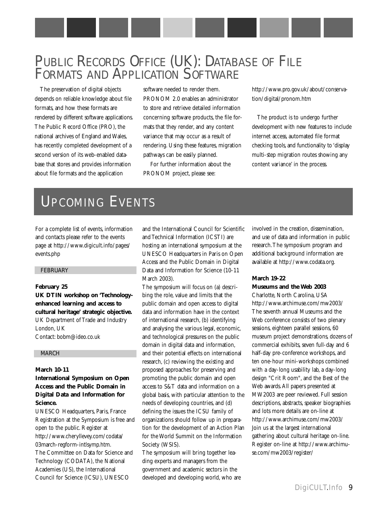### PUBLIC RECORDS OFFICE (UK): DATABASE OF FILE FORMATS AND APPLICATION SOFTWARE

The preservation of digital objects depends on reliable knowledge about file formats, and how these formats are rendered by different software applications. The Public Record Office (PRO), the national archives of England and Wales, has recently completed development of a second version of its web-enabled database that stores and provides information about file formats and the application

software needed to render them. PRONOM 2.0 enables an administrator to store and retrieve detailed information concerning software products, the file formats that they render, and any content variance that may occur as a result of rendering. Using these features, migration pathways can be easily planned.

For further information about the PRONOM project, please see:

[http://www.pro.gov.uk/about/conserva](http://www.pro.gov.uk/about/conservation/digital/pronom.htm)tion/digital/pronom.htm

The product is to undergo further development with new features to include internet access, automated file format checking tools, and functionality to 'display multi-step migration routes showing any content variance' in the process.

### UPCOMING EVENTS

For a complete list of events, information and contacts please refer to the events page at <http://www.digicult.info/pages/> events.php

#### FEBRUARY

#### **February 25**

**UK DTIN workshop on 'Technologyenhanced learning and access to cultural heritage' strategic objective.** UK Department of Trade and Industry London, UK Contact: bobm@ideo.co.uk

#### MARCH

#### **March 10-11 International Symposium on Open Access and the Public Domain in Digital Data and Information for Science.**

UNESCO Headquarters, Paris, France Registration at the Symposium is free and open to the public. Register at <http://www.cheryllevey.com/codata/> 03march-regform-intlsymp.htm. The Committee on Data for Science and Technology (CODATA), the National Academies (US), the International Council for Science (ICSU), UNESCO

and the International Council for Scientific and Technical Information (ICSTI) are hosting an international symposium at the UNESCO Headquarters in Paris on Open Access and the Public Domain in Digital Data and Information for Science (10-11 March 2003).

The symposium will focus on (a) describing the role, value and limits that the public domain and open access to digital data and information have in the context of international research, (b) identifying and analysing the various legal, economic, and technological pressures on the public domain in digital data and information, and their potential effects on international research, (c) reviewing the existing and proposed approaches for preserving and promoting the public domain and open access to S&T data and information on a global basis, with particular attention to the needs of developing countries, and (d) defining the issues the ICSU family of organizations should follow up in preparation for the development of an Action Plan for the World Summit on the Information Society (WSIS).

The symposium will bring together leading experts and managers from the government and academic sectors in the developed and developing world, who are involved in the creation, dissemination, and use of data and information in public research.The symposium program and additional background information are available at [http://www.codata.org.](http://www.codata.org)

#### **March 19-22 Museums and the Web 2003**

Charlotte, North Carolina, USA <http://www.archimuse.com/mw2003/> The seventh annual Museums and the Web conference consists of two plenary sessions, eighteen parallel sessions, 60 museum project demonstrations, dozens of commercial exhibits, seven full-day and 6 half-day pre-conference workshops, and ten one-hour mini-workshops combined with a day-long usability lab, a day-long design "Crit Room", and the Best of the Web awards.All papers presented at MW2003 are peer reviewed. Full session descriptions, abstracts, speaker biographies and lots more details are on-line at <http://www.archimuse.com/mw2003/> Join us at the largest international gathering about cultural heritage on-line. [Register on-line at http://www.archimu](http://www.archimuse.com/mw2003/register/)se.com/mw2003/register/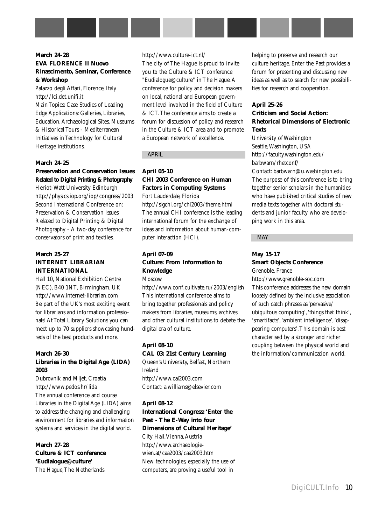#### **March 24-28 EVA FLORENCE Il Nuovo Rinascimento, Seminar, Conference & Workshop**

Palazzo degli Affari, Florence, Italy <http://lci.det.unifi.it> Main Topics: Case Studies of Leading Edge Applications: Galleries, Libraries, Education,Archaeological Sites, Museums & Historical Tours - Mediterranean Initiatives in Technology for Cultural Heritage institutions.

#### **March 24-25**

#### **Preservation and Conservation Issues Related to Digital Printing & Photography**

Heriot-Watt University Edinburgh <http://physics.iop.org/iop/congress/2003> Second International Conference on: Preservation & Conservation Issues Related to Digital Printing & Digital Photography - A two-day conference for conservators of print and textiles.

#### **March 25-27 INTERNET LIBRARIAN INTERNATIONAL**

Hall 10, National Exhibition Centre (NEC), B40 1NT, Birmingham, UK <http://www.internet-librarian.com> Be part of the UK's most exciting event for librarians and information professionals! At Total Library Solutions you can meet up to 70 suppliers showcasing hundreds of the best products and more.

#### **March 26-30**

#### **Libraries in the Digital Age (LIDA) 2003**

Dubrovnik and Mljet, Croatia <http://www.pedos.hr/lida> The annual conference and course Libraries in the Digital Age (LIDA) aims to address the changing and challenging environment for libraries and information systems and services in the digital world.

**March 27-28 Culture & ICT conference 'Eudialogue@culture'** The Hague,The Netherlands

<http://www.culture-ict.nl/> The city of The Hague is proud to invite you to the Culture & ICT conference "Eudialogue@culture" in The Hague.A conference for policy and decision makers on local, national and European government level involved in the field of Culture & ICT.The conference aims to create a forum for discussion of policy and research in the Culture & ICT area and to promote a European network of excellence.

#### APRIL

#### **April 05-10 CHI 2003 Conference on Human Factors in Computing Systems**

Fort Lauderdale, Florida <http://sigchi.org/chi2003/theme.html> The annual CHI conference is the leading international forum for the exchange of ideas and information about human-computer interaction (HCI).

#### **April 07-09 Culture: From Information to Knowledge** Moscow

<http://www.conf.cultivate.ru/2003/english> This international conference aims to bring together professionals and policy makers from libraries, museums, archives and other cultural institutions to debate the digital era of culture.

#### **April 08-10**

**CAL 03: 21st Century Learning** Queen's University, Belfast, Northern Ireland <http://www.cal2003.com> Contact: a.williams@elsevier.com

**April 08-12 International Congress: 'Enter the Past - The E-Way into four Dimensions of Cultural Heritage'** City Hall, Vienna, Austria http://www.archaeologie[wien.at/caa2003/caa2003.htm](http://www.archaeologiewien.at/caa2003/caa2003.htm) New technologies, especially the use of computers, are proving a useful tool in

helping to preserve and research our culture heritage. Enter the Past provides a forum for presenting and discussing new ideas as well as to search for new possibilities for research and cooperation.

#### **April 25-26**

#### **Criticism and Social Action: Rhetorical Dimensions of Electronic Texts**

University of Washington Seattle,Washington, USA <http://faculty.washington.edu/> barbwarn/rhetconf/

Contact: barbwarn@u.washington.edu The purpose of this conference is to bring together senior scholars in the humanities who have published critical studies of new media texts together with doctoral students and junior faculty who are developing work in this area.

#### MAY

#### **May 15-17**

#### **Smart Objects Conference**

Grenoble, France

<http://www.grenoble-soc.com> This conference addresses the new domain loosely defined by the inclusive association of such catch phrases as 'pervasive/ ubiquitous computing','things that think', 'smartifacts', 'ambient intelligence', 'disappearing computers'.This domain is best characterised by a stronger and richer coupling between the physical world and the information/communication world.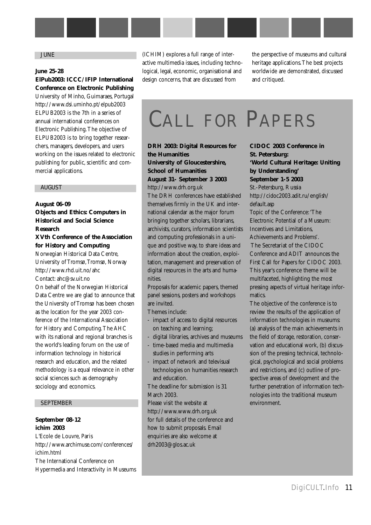#### JUNE

#### **June 25-28**

#### **ElPub2003: ICCC/IFIP International Conference on Electronic Publishing**

University of Minho, Guimaraes, Portugal <http://www.dsi.uminho.pt/elpub2003> ELPUB2003 is the 7th in a series of annual international conferences on Electronic Publishing.The objective of ELPUB2003 is to bring together researchers, managers, developers, and users working on the issues related to electronic publishing for public, scientific and commercial applications.

#### AUGUST

#### **August 06-09**

**Objects and Ethics: Computers in Historical and Social Science Research**

#### **XVth Conference of the Association for History and Computing**

Norwegian Historical Data Centre, University of Tromsø, Tromsø, Norway <http://www.rhd.uit.no/ahc> Contact: ahc@sv.uit.no On behalf of the Norwegian Historical Data Centre we are glad to announce that the University of Tromsø has been chosen as the location for the year 2003 conference of the International Association for History and Computing.The AHC with its national and regional branches is the world's leading forum on the use of information technology in historical research and education, and the related methodology is a equal relevance in other social sciences such as demography sociology and economics.

#### SEPTEMBER

#### **September 08-12 ichim 2003**

L'Ecole de Louvre, Paris <http://www.archimuse.com/conferences/> ichim.html The International Conference on Hypermedia and Interactivity in Museums (ICHIM) explores a full range of interactive multimedia issues, including technological, legal, economic, organisational and design concerns, that are discussed from

the perspective of museums and cultural heritage applications.The best projects worldwide are demonstrated, discussed and critiqued.

# CALL FOR PAPERS

**DRH 2003: Digital Resources for the Humanities University of Gloucestershire, School of Humanities August 31- September 3 2003** <http://www.drh.org.uk>

The DRH conferences have established themselves firmly in the UK and international calendar as the major forum bringing together scholars, librarians, archivists, curators, information scientists and computing professionals in a unique and positive way, to share ideas and information about the creation, exploitation, management and preservation of digital resources in the arts and humanities.

Proposals for academic papers, themed panel sessions, posters and workshops are invited.

Themes include:

- impact of access to digital resources on teaching and learning;
- digital libraries, archives and museums
- time-based media and multimedia studies in performing arts
- impact of network and televisual technologies on humanities research and education.

The deadline for submission is 31 March 2003.

Please visit the website at <http://www.www.drh.org.uk> for full details of the conference and how to submit proposals. Email enquiries are also welcome at drh2003@glos.ac.uk

**St. Petersburg: 'World Cultural Heritage: Uniting by Understanding' September 1-5 2003** St.-Petersburg, Russia <http://cidoc2003.adit.ru/english/> default.asp Topic of the Conference:'The Electronic Potential of a Museum: Incentives and Limitations, Achievements and Problems'. The Secretariat of the CIDOC Conference and ADIT announces the First Call for Papers for CIDOC 2003. This year's conference theme will be multifaceted, highlighting the most pressing aspects of virtual heritage infor-

**CIDOC 2003 Conference in** 

The objective of the conference is to review the results of the application of information technologies in museums: (a) analysis of the main achievements in the field of storage, restoration, conservation and educational work, (b) discussion of the pressing technical, technological, psychological and social problems and restrictions, and (c) outline of prospective areas of development and the further penetration of information technologies into the traditional museum environment.

matics.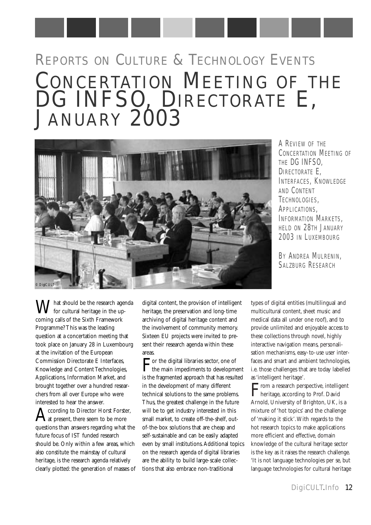# REPORTS ON CULTURE & TECHNOLOGY EVENTS CONCERTATION MEETING OF THE DG INFSO, DIRECTORATE E, JANUARY 2003



A REVIEW OF THE CONCERTATION MEETING OF THE DG INFSO, DIRECTORATE E, INTERFACES, KNOWLEDGE AND CONTENT TECHNOLOGIES, APPLICATIONS. INFORMATION MARKETS. HELD ON 28TH JANUARY 2003 IN LUXEMBOURG

BY ANDREA MULRENIN, SALZBURG RESEARCH

 $\sum$  hat should be the research agenda for cultural heritage in the upcoming calls of the Sixth Framework Programme? This was the leading question at a concertation meeting that took place on January 28 in Luxembourg at the invitation of the European Commission Directorate E Interfaces, Knowledge and Content Technologies, Applications, Information Market, and brought together over a hundred researchers from all over Europe who were interested to hear the answer.

According to Director Horst Forster,<br>Aat present, there seem to be more questions than answers regarding what the future focus of IST funded research should be. Only within a few areas, which also constitute the mainstay of cultural heritage, is the research agenda relatively clearly plotted: the generation of masses of digital content, the provision of intelligent heritage, the preservation and long-time archiving of digital heritage content and the involvement of community memory. Sixteen EU projects were invited to present their research agenda within these areas.

For the digital libraries sector, one of<br>the main impediments to development is the fragmented approach that has resulted in the development of many different technical solutions to the same problems. Thus, the greatest challenge in the future will be to get industry interested in this small market, to create off-the-shelf, outof-the-box solutions that are cheap and self-sustainable and can be easily adapted even by small institutions.Additional topics on the research agenda of digital libraries are the ability to build large-scale collections that also embrace non-traditional

types of digital entities (multilingual and multicultural content, sheet music and medical data all under one roof), and to provide unlimited and enjoyable access to these collections through novel, highly interactive navigation means, personalisation mechanisms, easy-to-use user interfaces and smart and ambient technologies, i.e. those challenges that are today labelled as 'intelligent heritage'.

From a research perspective, intelligent<br>heritage, according to Prof. David Arnold, University of Brighton, UK, is a mixture of 'hot topics' and the challenge of 'making it stick'.With regards to the hot research topics to make applications more efficient and effective, domain knowledge of the cultural heritage sector is the key as it raises the research challenge. 'It is not language technologies per se, but language technologies for cultural heritage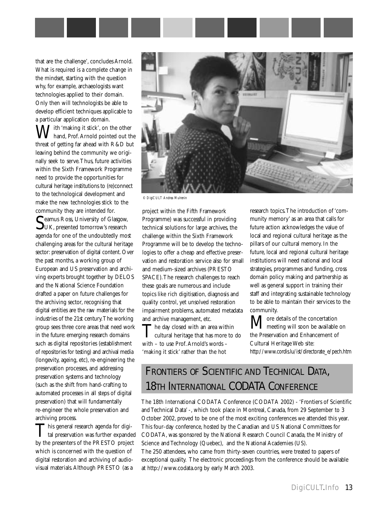

that are the challenge', concludes Arnold. What is required is a complete change in the mindset, starting with the question why, for example, archaeologists want technologies applied to their domain. Only then will technologists be able to develop efficient techniques applicable to a particular application domain.

 $\overline{J}$ ith 'making it stick', on the other hand, Prof.Arnold pointed out the threat of getting far ahead with R&D but leaving behind the community we originally seek to serve.Thus, future activities within the Sixth Framework Programme need to provide the opportunities for cultural heritage institutions to (re)connect to the technological development and make the new technologies stick to the community they are intended for.

Seamus Ross, University of Glasgow,<br>UK, presented tomorrow's research agenda for one of the undoubtedly most challenging areas for the cultural heritage sector: preservation of digital content. Over the past months, a working group of European and US preservation and archiving experts brought together by DELOS and the National Science Foundation drafted a paper on future challenges for the archiving sector, recognising that digital entities are the raw materials for the industries of the 21st century.The working group sees three core areas that need work in the future: emerging research domains such as digital repositories (establishment of repositories for testing) and archival media (longevity, ageing, etc), re-engineering the preservation processes, and addressing preservation systems and technology (such as the shift from hand-crafting to automated processes in all steps of digital preservation) that will fundamentally re-engineer the whole preservation and archiving process.

This general research agenda for digital preservation was further expanded by the presenters of the PRESTO project which is concerned with the question of digital restoration and archiving of audiovisual materials.Although PRESTO (as a



*© DigiCULT Andrea Mulrenin*

project within the Fifth Framework Programme) was successful in providing technical solutions for large archives, the challenge within the Sixth Framework Programme will be to develop the technologies to offer a cheap and effective preservation and restoration service also for small and medium-sized archives (PRESTO SPACE).The research challenges to reach these goals are numerous and include topics like rich digitisation, diagnosis and quality control, yet unsolved restoration impairment problems, automated metadata and archive management, etc.

The day closed with an area within<br>cultural heritage that has more to do with – to use Prof.Arnold's words – 'making it stick' rather than the hot

research topics.The introduction of 'community memory' as an area that calls for future action acknowledges the value of local and regional cultural heritage as the pillars of our cultural memory. In the future, local and regional cultural heritage institutions will need national and local strategies, programmes and funding, cross domain policy making and partnership as well as general support in training their staff and integrating sustainable technology to be able to maintain their services to the community.

 $\mathbf M$  ore details of the concertation<br>in available on the Preservation and Enhancement of Cultural Heritage Web site: [http://www.cordis.lu/ist/directorate\\_e/pech.htm](http://www.cordis.lu/ist/directorate_e/pech.htm)

### FRONTIERS OF SCIENTIFIC AND TECHNICAL DATA, 18TH INTERNATIONAL CODATA CONFERENCE

The 18th International CODATA Conference (CODATA 2002) - 'Frontiers of Scientific and Technical Data' -, which took place in Montreal, Canada, from 29 September to 3 October 2002, proved to be one of the most exciting conferences we attended this year. This four-day conference, hosted by the Canadian and US National Committees for CODATA, was sponsored by the National Research Council Canada, the Ministry of Science and Technology (Quebec), and the National Academies (US).

The 250 attendees, who came from thirty-seven countries, were treated to papers of exceptional quality. The electronic proceedings from the conference should be available at<http://www.codata.org> by early March 2003.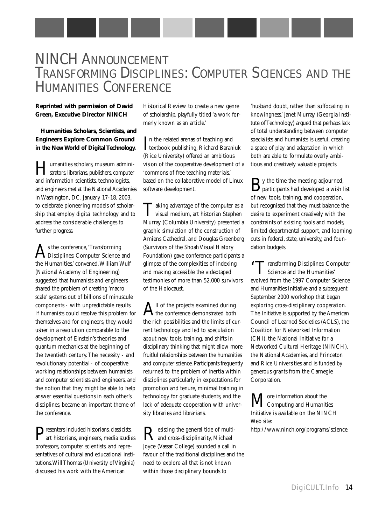### NINCH ANNOUNCEMENT TRANSFORMING DISCIPLINES: COMPUTER SCIENCES AND THE HUMANITIES CONFERENCE

#### **Reprinted with permission of David Green, Executive Director NINCH**

#### **Humanities Scholars, Scientists, and Engineers Explore Common Ground in the New World of Digital Technology.**

Humanities scholars, museum admini-strators, librarians, publishers, computer and information scientists, technologists, and engineers met at the National Academies in Washington, DC, January 17-18, 2003, to celebrate pioneering models of scholarship that employ digital technology and to address the considerable challenges to further progress.

As the conference, 'Transforming<br>Disciplines: Computer Science and the Humanities,' convened,William Wulf (National Academy of Engineering) suggested that humanists and engineers shared the problem of creating 'macro scale' systems out of billions of minuscule components - with unpredictable results. If humanists could resolve this problem for themselves and for engineers, they would usher in a revolution comparable to the development of Einstein's theories and quantum mechanics at the beginning of the twentieth century.The necessity - and revolutionary potential - of cooperative working relationships between humanists and computer scientists and engineers, and the notion that they might be able to help answer essential questions in each other's disciplines, became an important theme of the conference.

Presenters included historians, classicists, art historians, engineers, media studies professors, computer scientists, and representatives of cultural and educational institutions.Will Thomas (University of Virginia) discussed his work with the American

Historical Review to create a new genre of scholarship, playfully titled 'a work formerly known as an article.'

In the related arenas of teaching and<br>textbook publishing, Richard Baraniuk In the related arenas of teaching and (Rice University) offered an ambitious vision of the cooperative development of a 'commons of free teaching materials,' based on the collaborative model of Linux software development.

Taking advantage of the computer as a<br>visual medium, art historian Stephen Murray (Columbia University) presented a graphic simulation of the construction of Amiens Cathedral, and Douglas Greenberg (Survivors of the Shoah Visual History Foundation) gave conference participants a glimpse of the complexities of indexing and making accessible the videotaped testimonies of more than 52,000 survivors of the Holocaust.

 ${\bf A}^{\rm ll}$  of the projects examined during<br>the conference demonstrated both the rich possibilities and the limits of current technology and led to speculation about new tools, training, and shifts in disciplinary thinking that might allow more fruitful relationships between the humanities and computer science. Participants frequently returned to the problem of inertia within disciplines particularly in expectations for promotion and tenure, minimal training in technology for graduate students, and the lack of adequate cooperation with university libraries and librarians.

Resisting the general tide of multi-<br>and cross-disciplinarity, Michael Joyce (Vassar College) sounded a call in favour of the traditional disciplines and the need to explore all that is not known within those disciplinary bounds to

'husband doubt, rather than suffocating in knowingness.' Janet Murray (Georgia Institute of Technology) argued that perhaps lack of total understanding between computer specialists and humanists is useful, creating a space of play and adaptation in which both are able to formulate overly ambitious and creatively valuable projects.

By the time the meeting adjourned, participants had developed a wish list of new tools, training, and cooperation, but recognised that they must balance the desire to experiment creatively with the constraints of existing tools and models, limited departmental support, and looming cuts in federal, state, university, and foundation budgets.

'Transforming Disciplines: Computer Science and the Humanities' evolved from the 1997 Computer Science and Humanities Initiative and a subsequent September 2000 workshop that began exploring cross-disciplinary cooperation. The Initiative is supported by the American Council of Learned Societies (ACLS), the Coalition for Networked Information (CNI), the National Initiative for a Networked Cultural Heritage (NINCH), the National Academies, and Princeton and Rice Universities and is funded by generous grants from the Carnegie Corporation.

 $\rm M$ Computing and Humanities Initiative is available on the NINCH Web site: [http://www.ninch.org/programs/science.](http://www.ninch.org/programs/science)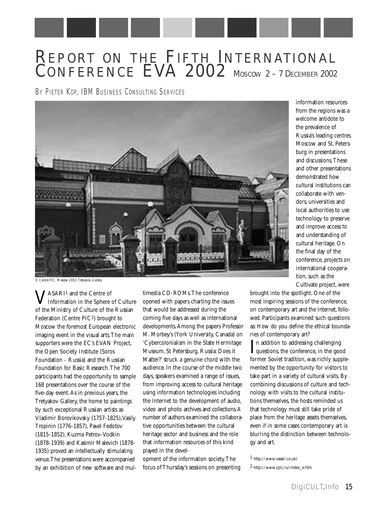### REPORT ON THE FIFTH INTERNATIONAL CONFERENCE EVA 2002 MOSCOW 2-7 DECEMBER 2002

BY PIETER KOP, IBM BUSINESS CONSULTING SERVICES



information resources from the regions was a welcome antidote to the prevalence of Russia's leading centres Moscow and St. Petersburg in presentations and discussions.These and other presentations demonstrated how cultural institutions can collaborate with vendors, universities and local authorities to use technology to preserve and improve access to and understanding of cultural heritage. On the final day of the conference, projects on international cooperation, such as the Cultivate project, were

*© Centre PIC, Moscow 2002,Tretyakov Gallery*

VASARI1 and the Centre of Information in the Sphere of Culture of the Ministry of Culture of the Russian Federation (Centre PIC2) brought to Moscow the foremost European electronic imaging event in the visual arts.The main supporters were the EC's EVAN Project, the Open Society Institute (Soros Foundation - Russia) and the Russian Foundation for Basic Research.The 700 participants had the opportunity to sample 168 presentations over the course of the five-day event.As in previous years, the Tretyakov Gallery, the home to paintings by such exceptional Russian artists as Vladimir Borovikovsky (1757-1825),Vasily Tropinin (1776-1857), Pavel Fedotov (1815-1852), Kuzma Petrov-Vodkin (1878-1939) and Kasimir Malevich (1878- 1935) proved an intellectually stimulating venue.The presentations were accompanied by an exhibition of new software and mul-

timedia CD-ROMs.The conference opened with papers charting the issues that would be addressed during the coming five days as well as international developments.Among the papers Professor M. Morbey's (York University, Canada) on 'Cybercolonialism in the State Hermitage Museum, St Petersburg, Russia: Does it Matter?' struck a genuine chord with the audience. In the course of the middle two days, speakers examined a range of issues, from improving access to cultural heritage using information technologies including the Internet to the development of audio, video and photo archives and collections.A number of authors examined the collaborative opportunities between the cultural heritage sector and business and the role that information resources of this kind played in the devel-

opment of the information society.The focus of Thursday's sessions on presenting brought into the spotlight. One of the most inspiring sessions of the conference, on contemporary art and the Internet, followed. Participants examined such questions as: How do you define the ethical boundaries of contemporary art?

In addition to addressing challenging<br>questions, the conference, in the good n addition to addressing challenging former Soviet tradition, was richly supplemented by the opportunity for visitors to take part in a variety of cultural visits. By combining discussions of culture and technology with visits to the cultural institutions themselves, the hosts reminded us that technology must still take pride of place from the heritage assets themselves, even if in some cases contemporary art is blurring the distinction between technology and art.

1 <http://www.vasari.co.uk/>

2 [http://www.cpic.ru/Index\\_e.htm](http://www.cpic.ru/Index_e.htm)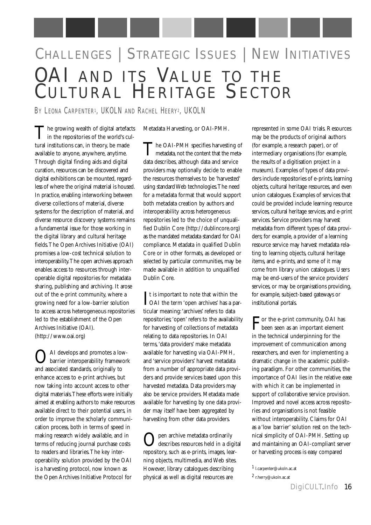# CHALLENGES | STRATEGIC ISSUES | NEW INITIATIVES OAI AND ITS VALUE TO THE C ULTURAL HERITAGE SECTOR

BY LEONA CARPENTER1, UKOLN AND RACHEL HEERY2, UKOLN

The growing wealth of digital artefacts in the repositories of the world's cultural institutions can, in theory, be made available to anyone, anywhere, anytime. Through digital finding aids and digital curation, resources can be discovered and digital exhibitions can be mounted, regardless of where the original material is housed. In practice, enabling interworking between diverse collections of material, diverse systems for the description of material, and diverse resource discovery systems remains a fundamental issue for those working in the digital library and cultural heritage fields.The Open Archives Initiative (OAI) promises a low-cost technical solution to interoperability.The open archives approach enables access to resources through interoperable digital repositories for metadata sharing, publishing and archiving. It arose out of the e-print community, where a growing need for a low-barrier solution to access across heterogeneous repositories led to the establishment of the Open Archives Initiative (OAI). ([http://www.oai.org\)](http://www.oai.org) 

OAI develops and promotes a low-barrier interoperability framework and associated standards, originally to enhance access to e-print archives, but now taking into account access to other digital materials.These efforts were initially aimed at enabling authors to make resources available direct to their potential users, in order to improve the scholarly communication process, both in terms of speed in making research widely available, and in terms of reducing journal purchase costs to readers and libraries.The key interoperability solution provided by the OAI is a harvesting protocol, now known as the Open Archives Initiative Protocol for

Metadata Harvesting, or OAI-PMH.

The OAI-PMH specifies harvesting of metadata, not the content that the metadata describes, although data and service providers may optionally decide to enable the resources themselves to be 'harvested' using standard Web technologies.The need for a metadata format that would support both metadata creation by authors and interoperability across heterogeneous repositories led to the choice of unqualified Dublin Core ([http://dublincore.org\)](http://dublincore.org) as the mandated metadata standard for OAI compliance. Metadata in qualified Dublin Core or in other formats, as developed or selected by particular communities, may be made available in addition to unqualified Dublin Core.

It is important to note that within the<br>OAI the term 'open archives' has a par- $\mathbf{T}$ t is important to note that within the ticular meaning:'archives' refers to data repositories;'open' refers to the availability for harvesting of collections of metadata relating to data repositories. In OAI terms,'data providers' make metadata available for harvesting via OAI-PMH, and 'service providers' harvest metadata from a number of appropriate data providers and provide services based upon this harvested metadata. Data providers may also be service providers. Metadata made available for harvesting by one data provider may itself have been aggregated by harvesting from other data providers.

Open archive metadata ordinarily describes resources held in a digital repository, such as e-prints, images, learning objects, multimedia, and Web sites. However, library catalogues describing physical as well as digital resources are

represented in some OAI trials. Resources may be the products of original authors (for example, a research paper), or of intermediary organisations (for example, the results of a digitisation project in a museum). Examples of types of data providers include repositories of e-prints, learning objects, cultural heritage resources, and even union catalogues. Examples of services that could be provided include learning resource services, cultural heritage services, and e-print services. Service providers may harvest metadata from different types of data providers; for example, a provider of a learning resource service may harvest metadata relating to learning objects, cultural heritage items, and e-prints, and some of it may come from library union catalogues. Users may be end-users of the service providers' services, or may be organisations providing, for example, subject-based gateways or institutional portals.

For the e-print community, OAI has been seen as an important element in the technical underpinning for the improvement of communication among researchers, and even for implementing a dramatic change in the academic publishing paradigm. For other communities, the importance of OAI lies in the relative ease with which it can be implemented in support of collaborative service provision. Improved and novel access across repositories and organisations is not feasible without interoperability. Claims for OAI as a 'low barrier' solution rest on the technical simplicity of OAI-PMH. Setting up and maintaining an OAI-compliant server or harvesting process is easy compared

<sup>1</sup> l.carpenter@ukoln.ac.at

<sup>2</sup> r.herry@ukoln.ac.at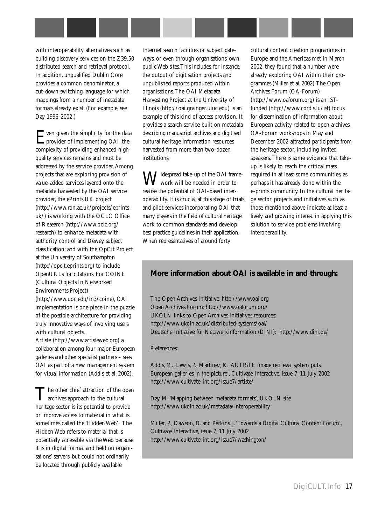

with interoperability alternatives such as building discovery services on the Z39.50 distributed search and retrieval protocol. In addition, unqualified Dublin Core provides a common denominator, a cut-down switching language for which mappings from a number of metadata formats already exist. (For example, see Day 1996-2002.)

Even given the simplicity for the data provider of implementing OAI, the complexity of providing enhanced highquality services remains and must be addressed by the service provider.Among projects that are exploring provision of value-added services layered onto the metadata harvested by the OAI service provider, the ePrints UK project [\(http://www.rdn.ac.uk/projects/eprints](http://www.rdn.ac.uk/projects/eprintsuk/)uk/) is working with the OCLC Office of Research (<http://www.oclc.org/> research) to enhance metadata with authority control and Dewey subject classification; and with the OpCit Project at the University of Southampton ([http://opcit.eprints.org\)](http://opcit.eprints.org) to include OpenURLs for citations. For COINE (Cultural Objects In Networked Environments Project) (<http://www.uoc.edu/in3/coine>), OAI implementation is one piece in the puzzle of the possible architecture for providing truly innovative ways of involving users with cultural objects. Artiste ([http://www.artisteweb.org\)](http://www.artisteweb.org) a collaboration among four major European

galleries and other specialist partners – sees OAI as part of a new management system for visual information (Addis et al. 2002).

The other chief attraction of the open<br>archives approach to the cultural heritage sector is its potential to provide or improve access to material in what is sometimes called the 'Hidden Web'. The Hidden Web refers to material that is potentially accessible via the Web because it is in digital format and held on organisations' servers, but could not ordinarily be located through publicly available

Internet search facilities or subject gateways, or even through organisations' own public Web sites.This includes, for instance, the output of digitisation projects and unpublished reports produced within organisations.The OAI Metadata Harvesting Project at the University of Illinois ([http://oai.grainger.uiuc.edu\)](http://oai.grainger.uiuc.edu) is an example of this kind of access provision. It provides a search service built on metadata describing manuscript archives and digitised cultural heritage information resources harvested from more than two-dozen institutions.

**J**idespread take-up of the OAI framework will be needed in order to realise the potential of OAI-based interoperability. It is crucial at this stage of trials and pilot services incorporating OAI that many players in the field of cultural heritage work to common standards and develop best practice guidelines in their application. When representatives of around forty

cultural content creation programmes in Europe and the Americas met in March 2002, they found that a number were already exploring OAI within their programmes (Miller et al. 2002).The Open Archives Forum (OA-Forum) ([http://www.oaforum.org\)](http://www.oaforum.org) is an ISTfunded ([http://www.cordis.lu/ist\)](http://www.cordis.lu/ist) focus for dissemination of information about European activity related to open archives. OA-Forum workshops in May and December 2002 attracted participants from the heritage sector, including invited speakers.There is some evidence that takeup is likely to reach the critical mass required in at least some communities, as perhaps it has already done within the e-prints community. In the cultural heritage sector, projects and initiatives such as those mentioned above indicate at least a lively and growing interest in applying this solution to service problems involving interoperability.

#### **More information about OAI is available in and through:**

The Open Archives Initiative:<http://www.oai.org> Open Archives Forum:<http://www.oaforum.org/> UKOLN links to Open Archives Initiatives resources: <http://www.ukoln.ac.uk/distributed-systems/oai/> Deutsche Initiative für Netzwerkinformation (DINI):<http://www.dini.de/>

#### References:

Addis, M., Lewis, P., Martinez, K.'ARTISTE image retrieval system puts European galleries in the picture', Cultivate Interactive, issue 7, 11 July 2002 <http://www.cultivate-int.org/issue7/artiste/>

Day, M.'Mapping between metadata formats', UKOLN site <http://www.ukoln.ac.uk/metadata/interoperability>

Miller, P., Dawson, D. and Perkins, J.'Towards a Digital Cultural Content Forum', Cultivate Interactive, issue 7, 11 July 2002 <http://www.cultivate-int.org/issue7/washington/>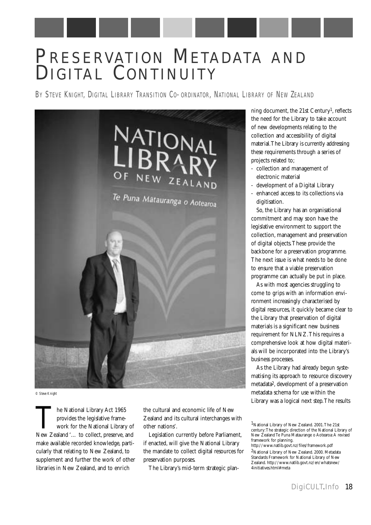# PRESERVATION METADATA AND DIGITAL CONTINUITY

BY STEVE KNIGHT, DIGITAL LIBRARY TRANSITION CO-ORDINATOR, NATIONAL LIBRARY OF NEW ZEALAND



*© Steve Knight*

The National Library Act 1965<br>provides the legislative frame-<br>work for the National Library of<br>New Zealand '... to collect, preserve, and provides the legislative framework for the National Library of make available recorded knowledge, particularly that relating to New Zealand, to supplement and further the work of other libraries in New Zealand, and to enrich

the cultural and economic life of New Zealand and its cultural interchanges with other nations'.

Legislation currently before Parliament, if enacted, will give the National Library the mandate to collect digital resources for preservation purposes.

The Library's mid-term strategic plan-

ning document, the 21st Century1, reflects the need for the Library to take account of new developments relating to the collection and accessibility of digital material.The Library is currently addressing these requirements through a series of projects related to;

- collection and management of electronic material
- development of a Digital Library
- enhanced access to its collections via digitisation.

So, the Library has an organisational commitment and may soon have the legislative environment to support the collection, management and preservation of digital objects.These provide the backbone for a preservation programme. The next issue is what needs to be done to ensure that a viable preservation programme can actually be put in place.

As with most agencies struggling to come to grips with an information environment increasingly characterised by digital resources, it quickly became clear to the Library that preservation of digital materials is a significant new business requirement for NLNZ.This requires a comprehensive look at how digital materials will be incorporated into the Library's business processes.

As the Library had already begun systematising its approach to resource discovery metadata2, development of a preservation metadata schema for use within the Library was a logical next step.The results

<sup>1</sup>National Library of New Zealand. 2001.The 21st century:The strategic direction of the National Library of New Zealand Te Puna Mataurange o Aotearoa:A revised framework for planning.

<http://www.natlib.govt.nz/files/framework.pdf> 2National Library of New Zealand. 2000. Metadata Standards Framework for National Library of New Zealand.<http://www.natlib.govt.nz/en/whatsnew/> 4initiatives.html#meta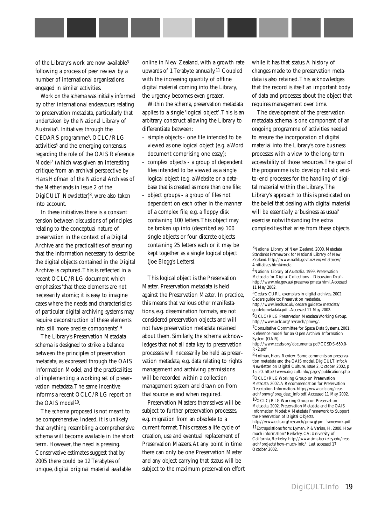of the Library's work are now available3 following a process of peer review by a number of international organisations engaged in similar activities.

Work on the schema was initially informed by other international endeavours relating to preservation metadata, particularly that undertaken by the National Library of Australia4. Initiatives through the CEDARS programme5, OCLC/RLG activities<sup>6</sup> and the emerging consensus regarding the role of the OAIS Reference Model7 (which was given an interesting critique from an archival perspective by Hans Hofman of the National Archives of the Netherlands in Issue 2 of the DigiCULT Newsletter)8, were also taken into account.

In these initiatives there is a constant tension between discussions of principles relating to the conceptual nature of preservation in the context of a Digital Archive and the practicalities of ensuring that the information necessary to describe the digital objects contained in the Digital Archive is captured.This is reflected in a recent OCLC/RLG document which emphasises 'that these elements are not necessarily atomic; it is easy to imagine cases where the needs and characteristics of particular digital archiving systems may require deconstruction of these elements into still more precise components'.9

The Library's Preservation Metadata schema is designed to strike a balance between the principles of preservation metadata, as expressed through the OAIS Information Model, and the practicalities of implementing a working set of preservation metadata.The same incentive informs a recent OCLC/RLG report on the OAIS model<sup>10</sup>.

The schema proposed is not meant to be comprehensive. Indeed, it is unlikely that anything resembling a comprehensive schema will become available in the short term. However, the need is pressing. Conservative estimates suggest that by 2005 there could be 12 Terabytes of unique, digital original material available

online in New Zealand, with a growth rate upwards of 1 Terabyte annually.11 Coupled with the increasing quantity of offline digital material coming into the Library, the urgency becomes even greater.

Within the schema, preservation metadata applies to a single 'logical object'.This is an arbitrary construct allowing the Library to differentiate between:

- simple objects one file intended to be viewed as one logical object (e.g. a Word document comprising one essay);
- complex objects a group of dependent files intended to be viewed as a single logical object (e.g. a Website or a database that is created as more than one file;
- object groups a group of files not dependent on each other in the manner of a complex file, e.g. a floppy disk containing 100 letters.This object may be broken up into (described as) 100 single objects or four discrete objects containing 25 letters each or it may be kept together as a single logical object (Joe Blogg's Letters).

This logical object is the Preservation Master. Preservation metadata is held against the Preservation Master. In practice, this means that various other manifestations, e.g. dissemination formats, are not considered preservation objects and will not have preservation metadata retained about them. Similarly, the schema acknowledges that not all data key to preservation processes will necessarily be held as preservation metadata, e.g. data relating to rights management and archiving permissions will be recorded within a collection management system and drawn on from that source as and when required.

Preservation Masters themselves will be subject to further preservation processes, e.g. migration from an obsolete to a current format.This creates a life cycle of creation, use and eventual replacement of Preservation Masters.At any point in time there can only be one Preservation Master and any object carrying that status will be subject to the maximum preservation effort while it has that status. A history of changes made to the preservation metadata is also retained.This acknowledges that the record is itself an important body of data and processes about the object that requires management over time.

The development of the preservation metadata schema is one component of an ongoing programme of activities needed to ensure the incorporation of digital material into the Library's core business processes with a view to the long-term accessibility of those resources.The goal of the programme is to develop holistic endto-end processes for the handling of digital material within the Library.The Library's approach to this is predicated on the belief that dealing with digital material will be essentially a 'business as usual' exercise notwithstanding the extra complexities that arise from these objects.

4National Library of Australia. 1999. Preservation Metadata for Digital Collections – Discussion Draft. [http://www.nla.gov.au/preserve/pmeta.html.](http://www.nla.gov.au/preserve/pmeta.html)Accessed 11 May 2002.

5Cedars: CURL exemplars in digital archives. 2002. Cedars guide to: Preservation metadata.

<http://www.leeds.ac.uk/cedars/guideto/metadata/> guidetometadata.pdf .Accessed 11 May 2002. 6OCLC/RLG Preservation Metadata Working Group.

[http://www.oclc.org/research/pmwg/.](http://www.oclc.org/research/pmwg/)

7Consultative Committee for Space Data Systems. 2001. Reference model for an Open Archival Information System (OAIS).

<http://www.ccsds.org/documents/pdf/CCSDS-650.0-> R-2.pdf

8Hofman, Hans. Review: Some comments on preservation metadata and the OAIS model. DigiCULT.Info:A Newsletter on Digital Culture, Issue 2, October 2002, p 15-20.<http://www.digicult.info/pages/publications.php>

9OCLC/RLG Working Group on Preservation Metadata. 2002.A Recommendation for Preservation [Description Information. http://www.oclc.org/rese](http://www.oclc.org/research/pmwg/pres_desc_info.pdf)arch/pmwg/pres\_desc\_info.pdf.Accessed 11 May 2002. 10OCLC/RLG Working Group on Preservation Metadata. 2002. Preservation Metadata and the OAIS

Information Model:A Metadata Framework to Support the Preservation of Digital Objects. [http://www.oclc.org/research/pmwg/pm\\_framework.pdf](http://www.oclc.org/research/pmwg/pm_framework.pdf) 

11Extrapolations from: Lyman, P. & Varian, H. 2000. How much information? Berkeley, CA: University of [California, Berkeley. http://www.sims.berkeley.edu/rese](http://www.sims.berkeley.edu/research/projects/how-much-info/)arch/projects/how-much-info/. Last accessed 17 October 2002.

<sup>3</sup>National Library of New Zealand. 2000. Metadata Standards Framework for National Library of New Zealand.<http://www.natlib.govt.nz/en/whatsnew/> 4initiatives.html#meta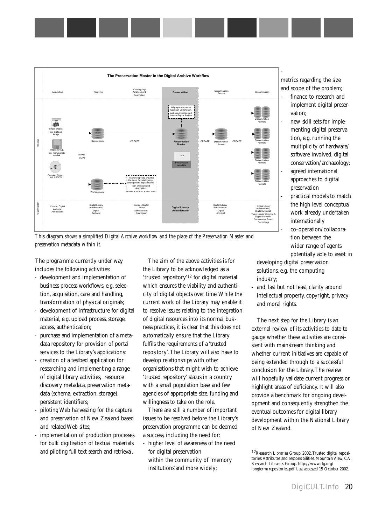

*This diagram shows a simplified Digital Archive workflow and the place of the Preservation Master and preservation metadata within it.*

The programme currently under way includes the following activities:

- development and implementation of business process workflows, e.g. selection, acquisition, care and handling, transformation of physical originals;
- development of infrastructure for digital material, e.g. upload process, storage, access, authentication;
- purchase and implementation of a metadata repository for provision of portal services to the Library's applications;
- creation of a testbed application for researching and implementing a range of digital library activities, resource discovery metadata, preservation metadata (schema, extraction, storage), persistent identifiers;
- piloting Web harvesting for the capture and preservation of New Zealand based and related Web sites;
- implementation of production processes for bulk digitisation of textual materials and piloting full text search and retrieval.

The aim of the above activities is for the Library to be acknowledged as a 'trusted repository'12 for digital material which ensures the viability and authenticity of digital objects over time.While the current work of the Library may enable it to resolve issues relating to the integration of digital resources into its normal business practices, it is clear that this does not automatically ensure that the Library fulfils the requirements of a 'trusted repository'.The Library will also have to develop relationships with other organisations that might wish to achieve 'trusted repository' status in a country with a small population base and few agencies of appropriate size, funding and willingness to take on the role.

There are still a number of important issues to be resolved before the Library's preservation programme can be deemed a success, including the need for:

- higher level of awareness of the need for digital preservation within the community of 'memory institutions'and more widely;

metrics regarding the size and scope of the problem;

- finance to research and implement digital preservation;
- new skill sets for implementing digital preserva tion, e.g. running the multiplicity of hardware/ software involved, digital conservation/archaeology;
- agreed international approaches to digital preservation
- practical models to match the high level conceptual work already undertaken internationally - co-operation/collaboration between the wider range of agents

potentially able to assist in developing digital preservation solutions, e.g. the computing industry;

and, last but not least, clarity around intellectual property, copyright, privacy and moral rights.

The next step for the Library is an external review of its activities to date to gauge whether these activities are consistent with mainstream thinking and whether current initiatives are capable of being extended through to a successful conclusion for the Library.The review will hopefully validate current progress or highlight areas of deficiency. It will also provide a benchmark for ongoing development and consequently strengthen the eventual outcomes for digital library development within the National Library of New Zealand.

<sup>12</sup>Research Libraries Group. 2002.Trusted digital repositories:Attributes and responsibilities. Mountain View, CA: Research Libraries Group.<http://www.rlg.org/> longterm/repositories.pdf. Last accessed 15 October 2002.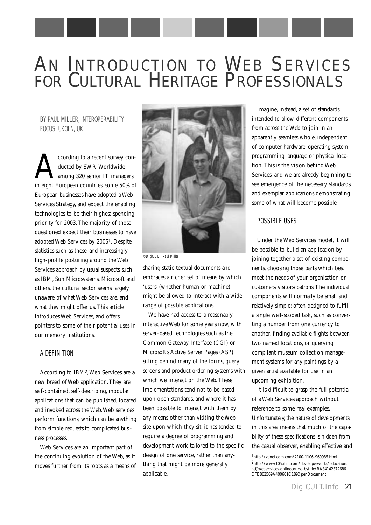# AN INTRODUCTION TO WEB SERVICES FOR CULTURAL HERITAGE PROFESSIONALS

BY PAUL MILLER, INTEROPERABILITY FOCUS, UKOLN, UK

cording to a recent survey con-<br>ducted by SWR Worldwide<br>among 320 senior IT managers<br>in eight European countries some 50% of ducted by SWR Worldwide among 320 senior IT managers in eight European countries, some 50% of European businesses have adopted a Web Services Strategy, and expect the enabling technologies to be their highest spending priority for 2003.The majority of those questioned expect their businesses to have adopted Web Services by 20051. Despite statistics such as these, and increasingly high-profile posturing around the Web Services approach by usual suspects such as IBM, Sun Microsystems, Microsoft and others, the cultural sector seems largely unaware of what Web Services are, and what they might offer us.This article introduces Web Services, and offers pointers to some of their potential uses in our memory institutions.

#### A DEFINITION

According to IBM2,Web Services are a new breed of Web application.They are self-contained, self-describing, modular applications that can be published, located and invoked across the Web.Web services perform functions, which can be anything from simple requests to complicated business processes.

Web Services are an important part of the continuing evolution of the Web, as it moves further from its roots as a means of



*©DigiCULT Paul Miller*

sharing static textual documents and embraces a richer set of means by which 'users' (whether human or machine) might be allowed to interact with a wide range of possible applications.

We have had access to a reasonably interactive Web for some years now, with server-based technologies such as the Common Gateway Interface (CGI) or Microsoft's Active Server Pages (ASP) sitting behind many of the forms, query screens and product ordering systems with which we interact on the Web.These implementations tend not to be based upon open standards, and where it has been possible to interact with them by any means other than visiting the Web site upon which they sit, it has tended to require a degree of programming and development work tailored to the specific design of one service, rather than anything that might be more generally applicable.

Imagine, instead, a set of standards intended to allow different components from across the Web to join in an apparently seamless whole, independent of computer hardware, operating system, programming language or physical location.This is the vision behind Web Services, and we are already beginning to see emergence of the necessary standards and exemplar applications demonstrating some of what will become possible.

#### POSSIBLE USES

Under the Web Services model, it will be possible to build an application by joining together a set of existing components, choosing those parts which best meet the needs of your organisation or customers/visitors/patrons.The individual components will normally be small and relatively simple; often designed to fulfil a single well-scoped task, such as converting a number from one currency to another, finding available flights between two named locations, or querying compliant museum collection management systems for any paintings by a given artist available for use in an upcoming exhibition.

It is difficult to grasp the full potential of a Web Services approach without reference to some real examples. Unfortunately, the nature of developments in this area means that much of the capability of these specifications is hidden from the casual observer, enabling effective and

<sup>1</sup>http://zdnet.com.com/2100-1106-960985.html 2http://www105.ibm.com/developerworks/education. nsf/webservices-onlinecourse-bytitle/BA84142372686 CFB862569A400601C18?OpenDocument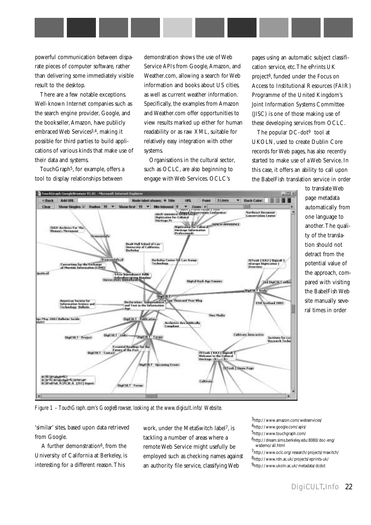powerful communication between disparate pieces of computer software, rather than delivering some immediately visible result to the desktop.

There are a few notable exceptions. Well-known Internet companies such as the search engine provider, Google, and the bookseller, Amazon, have publicly embraced Web Services3,4, making it possible for third parties to build applications of various kinds that make use of their data and systems.

TouchGraph<sup>5</sup>, for example, offers a tool to display relationships between

demonstration shows the use of Web Service APIs from Google, Amazon, and Weather.com, allowing a search for Web information and books about US cities, as well as current weather information. Specifically, the examples from Amazon and Weather.com offer opportunities to view results marked up either for human readability or as raw XML, suitable for relatively easy integration with other systems.

Organisations in the cultural sector, such as OCLC, are also beginning to engage with Web Services. OCLC's

pages using an automatic subject classification service, etc.The ePrints UK project8, funded under the Focus on Access to Institutional Resources (FAIR) Programme of the United Kingdom's Joint Information Systems Committee (JISC) is one of those making use of these developing services from OCLC.

The popular DC-dot<sup>9</sup> tool at UKOLN, used to create Dublin Core records for Web pages, has also recently started to make use of a Web Service. In this case, it offers an ability to call upon the BabelFish translation service in order



automatically from one language to another.The quality of the translation should not detract from the potential value of the approach, compared with visiting the BabelFish Web site manually several times in order

to translate Web page metadata

*Figure 1 – TouchGraph.com's GoogleBrowser, looking at the www.digicult.info/ Website.*

'similar' sites, based upon data retrieved from Google.

A further demonstration6, from the University of California at Berkeley, is interesting for a different reason.This

work, under the MetaSwitch label7, is tackling a number of areas where a remote Web Service might usefully be employed such as checking names against an authority file service, classifying Web

3http://www.amazon.com/webservices/ 4http://www.google.com/apis/ 5http://www.touchgraph.com/

 $^6$ http://dream.sims.berkeley.edu:8080/doc-eng/ wsdemo/all.html

 $7$ http://www.oclc.org/research/projects/mswitch/ 8http://www.rdn.ac.uk/projects/eprints-uk/ 9http://www.ukoln.ac.uk/metadata/dcdot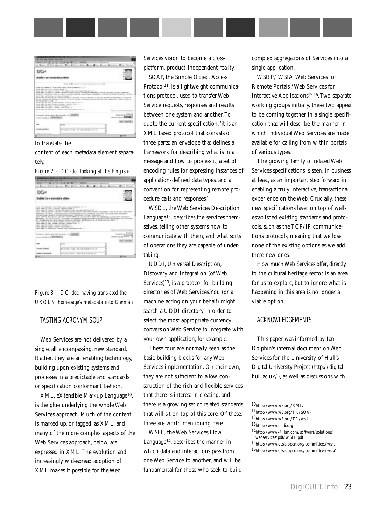|                                                                                                                                                               | ない ハンドランド きょうどうし ひとさい                                                                                                                                                                                                                                                                                                                                                                                                                                                                                                                                                                                                 |                                                                                                                                 |
|---------------------------------------------------------------------------------------------------------------------------------------------------------------|-----------------------------------------------------------------------------------------------------------------------------------------------------------------------------------------------------------------------------------------------------------------------------------------------------------------------------------------------------------------------------------------------------------------------------------------------------------------------------------------------------------------------------------------------------------------------------------------------------------------------|---------------------------------------------------------------------------------------------------------------------------------|
| <b>Be Cars metadala miller</b><br>2022/2020 PM 2020                                                                                                           |                                                                                                                                                                                                                                                                                                                                                                                                                                                                                                                                                                                                                       |                                                                                                                                 |
|                                                                                                                                                               |                                                                                                                                                                                                                                                                                                                                                                                                                                                                                                                                                                                                                       |                                                                                                                                 |
| the Revenue of Red." A 12 years<br>this taking car- power emails contact<br>ne in the month.<br>control to page of 1. Wednesday,<br>and the Microsoft Council | the party could be the control of the control of the control of the control of the control of the control of the<br>thosets interacted energy late a children industrial books and detailed dense achieve to<br>Entre de la Carrella de Maria estados como proposito a designaciones alternados e propos<br>call materials are become tremote of the ne include. Includedly last relative decrease capacities. When it based in<br>send rate 10-AU shows \$1000 months for a 40 mil-<br>there can rely contract in contemporary and in the decay of the C.<br>execute, but in case of the late concentrate. See 1983. | antique de restaurant comme recritere construction<br>They for any loss went the con-<br><b>CARL CALLS</b><br><b>STATISTICS</b> |

to translate the

content of each metadata element separately.



|                                                                               | IS DISPOSITION IN THE REPORT OF THE REPORT                                                                                                         |                                                                             |
|-------------------------------------------------------------------------------|----------------------------------------------------------------------------------------------------------------------------------------------------|-----------------------------------------------------------------------------|
| bile Cars metadata willer<br>アンティングアクセス アイアイアーバー                              |                                                                                                                                                    |                                                                             |
| THE USY TERRA PT. BOX 7506 LEVELARS<br>and capital state in Antonio continued | AMERICAN ART TELEVISION<br>ET IN 1979 PER WIND by a continue of a<br>C Garanteed & Macadone, 1981<br>areally are a high-resolution of the books of |                                                                             |
| days can 10 year, since 1970                                                  | and of women and paint at at minima believe in                                                                                                     | edeletion, is learned forced                                                |
| there has "the collect" will<br>the last of color collections                 | and the country and their                                                                                                                          | <b>Controller Controller Controller</b><br>timed through the forestal class |
| that advance CONTINUES.                                                       | Listra dend benediens av 180881                                                                                                                    |                                                                             |
| Still Gallery                                                                 |                                                                                                                                                    |                                                                             |
|                                                                               |                                                                                                                                                    |                                                                             |
|                                                                               | to read he would<br><b>TELESCO</b>                                                                                                                 |                                                                             |
|                                                                               |                                                                                                                                                    |                                                                             |
|                                                                               |                                                                                                                                                    |                                                                             |

*Figure 3 – DC-dot, having translated the UKOLN homepage's metadata into German*

#### TASTING ACRONYM SOUP

Web Services are not delivered by a single, all encompassing, new standard. Rather, they are an enabling technology, building upon existing systems and processes in a predictable and standards or specification conformant fashion.

XML, eXtensible Markup Language10, is the glue underlying the whole Web Services approach. Much of the content is marked up, or tagged, as XML, and many of the more complex aspects of the Web Services approach, below, are expressed in XML.The evolution and increasingly widespread adoption of XML makes it possible for the Web

Services vision to become a crossplatform, product-independent reality.

SOAP, the Simple Object Access Protocol<sup>11</sup>, is a lightweight communications protocol, used to transfer Web Service requests, responses and results between one system and another.To quote the current specification,'it is an XML based protocol that consists of three parts: an envelope that defines a framework for describing what is in a message and how to process it, a set of encoding rules for expressing instances of application-defined data types, and a convention for representing remote procedure calls and responses.'

WSDL, the Web Services Description Language12, describes the services themselves, telling other systems how to communicate with them, and what sorts of operations they are capable of undertaking.

UDDI, Universal Description, Discovery and Integration (of Web Services)13, is a protocol for building directories of Web Services.You (or a machine acting on your behalf) might search a UDDI directory in order to select the most appropriate currency conversion Web Service to integrate with your own application, for example.

These four are normally seen as the basic building blocks for any Web Services implementation. On their own, they are not sufficient to allow construction of the rich and flexible services that there is interest in creating, and there is a growing set of related standards that will sit on top of this core. Of these, three are worth mentioning here.

WSFL, the Web Services Flow Language14, describes the manner in which data and interactions pass from one Web Service to another, and will be fundamental for those who seek to build complex aggregations of Services into a single application.

WSRP/ WSIA,Web Services for Remote Portals /Web Services for Interactive Applications15,16.Two separate working groups initially, these two appear to be coming together in a single specification that will describe the manner in which individual Web Services are made available for calling from within portals of various types.

The growing family of related Web Services specifications is seen, in business at least, as an important step forward in enabling a truly interactive, transactional experience on the Web. Crucially, these new specifications layer on top of wellestablished existing standards and protocols, such as the TCP/IP communications protocols, meaning that we lose none of the existing options as we add these new ones.

How much Web Services offer, directly, to the cultural heritage sector is an area for us to explore, but to ignore what is happening in this area is no longer a viable option.

#### ACKNOWLEDGEMENTS

This paper was informed by Ian Dolphin's internal document on Web Services for the University of Hull's Digital University Project ([http://digital.](http://digital) hull.ac.uk/), as well as discussions with

- $^{15}{\rm http://www.oasis-open.org/committers/wsrp}$
- $^{16}\mathrm{http://www.oasis-open.org/committers/wsia/}$

<sup>10</sup>http://www.w3.org/XML/

<sup>11</sup>http://www.w3.org/TR/SOAP

<sup>12</sup>http://www.w3.org/TR/wsdl

<sup>13</sup>http://www.uddi.org

<sup>14</sup>http://www-4.ibm.com/software/solutions/ webservices/pdf/WSFL.pdf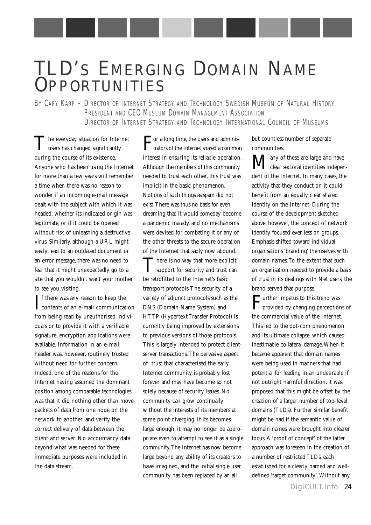## TLD'S EMERGING DOMAIN NAME **OPPORTUNITIES**

BY CARY KARP - DIRECTOR OF INTERNET STRATEGY AND TECHNOLOGY SWEDISH MUSEUM OF NATURAL HISTORY PRESIDENT AND CEO MUSEUM DOMAIN MANAGEMENT ASSOCIATION DIRECTOR OF INTERNET STRATEGY AND TECHNOLOGY INTERNATIONAL COUNCIL OF MUSEUMS

The everyday situation for Internet  $\perp$  users has changed significantly during the course of its existence. Anyone who has been using the Internet for more than a few years will remember a time when there was no reason to wonder if an incoming e-mail message dealt with the subject with which it was headed, whether its indicated origin was legitimate, or if it could be opened without risk of unleashing a destructive virus. Similarly, although a URL might easily lead to an outdated document or an error message, there was no need to fear that it might unexpectedly go to a site that you wouldn't want your mother to see you visiting.

If there was any reason to keep the<br>contents of an e-mail communication **T** f there was any reason to keep the from being read by unauthorised individuals or to provide it with a verifiable signature, encryption applications were available. Information in an e-mail header was, however, routinely trusted without need for further concern. Indeed, one of the reasons for the Internet having assumed the dominant position among comparable technologies was that it did nothing other than move packets of data from one node on the network to another, and verify the correct delivery of data between the client and server. No accountancy data beyond what was needed for these immediate purposes were included in the data stream.

For a long time, the users and adminis-trators of the Internet shared a common interest in ensuring its reliable operation. Although the members of this community needed to trust each other, this trust was implicit in the basic phenomenon. Notions of such things as spam did not exist.There was thus no basis for even dreaming that it would someday become a pandemic malady, and no mechanisms were devised for combating it or any of the other threats to the secure operation of the Internet that sadly now abound.

There is no way that more explicit<br>support for security and trust can be retrofitted to the Internet's basic transport protocols.The security of a variety of adjunct protocols such as the DNS (Domain Name System) and HTTP (Hypertext Transfer Protocol) is currently being improved by extensions to previous versions of those protocols. This is largely intended to protect clientserver transactions.The pervasive aspect of trust that characterised the early Internet community is probably lost forever and may have become so not solely because of security issues. No community can grow continually without the interests of its members at some point diverging. If its becomes large enough, it may no longer be appropriate even to attempt to see it as a single community.The Internet has now become large beyond any ability of its creators to have imagined, and the initial single user community has been replaced by an all

but countless number of separate communities.

**M**any of these are large and have<br>clear sectoral identities independent of the Internet. In many cases, the activity that they conduct on it could benefit from an equally clear shared identity on the Internet. During the course of the development sketched above, however, the concept of network identity focused ever less on groups. Emphasis shifted toward individual organisations 'branding' themselves with domain names.To the extent that such an organisation needed to provide a basis of trust in its dealings with Net users, the brand served that purpose.

 $\mathbf{F}^\text{urther}$  impetus to this trend was provided by changing perception provided by changing perceptions of the commercial value of the Internet. This led to the dot-com phenomenon and its ultimate collapse, which caused inestimable collateral damage.When it became apparent that domain names were being used in manners that had potential for leading in an undesirable if not outright harmful direction, it was proposed that this might be offset by the creation of a larger number of top-level domains (TLDs). Further similar benefit might be had if the semantic value of domain names were brought into clearer focus. A 'proof of concept' of the latter approach was foreseen in the creation of a number of restricted TLDs, each established for a clearly named and welldefined 'target community'.Without any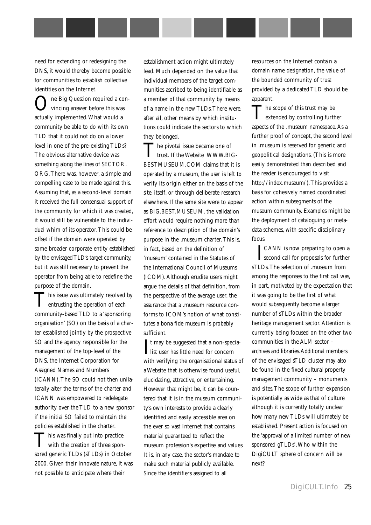need for extending or redesigning the DNS, it would thereby become possible for communities to establish collective identities on the Internet.

ne Big Question required a convincing answer before this was actually implemented.What would a community be able to do with its own TLD that it could not do on a lower level in one of the pre-existing TLDs? The obvious alternative device was something along the lines of SECTOR. ORG.There was, however, a simple and compelling case to be made against this. Assuming that, as a second-level domain it received the full consensual support of the community for which it was created, it would still be vulnerable to the individual whim of its operator.This could be offset if the domain were operated by some broader corporate entity established by the envisaged TLD's target community, but it was still necessary to prevent the operator from being able to redefine the purpose of the domain.

This issue was ultimately resolved by<br>
entrusting the operation of each community-based TLD to a 'sponsoring organisation' (SO) on the basis of a charter established jointly by the prospective SO and the agency responsible for the management of the top-level of the DNS, the Internet Corporation for Assigned Names and Numbers (ICANN).The SO could not then unilaterally alter the terms of the charter and ICANN was empowered to redelegate authority over the TLD to a new sponsor if the initial SO failed to maintain the policies established in the charter.

This was finally put into practice<br>with the creation of three sponsored generic TLDs (sTLDs) in October 2000. Given their innovate nature, it was not possible to anticipate where their

establishment action might ultimately lead. Much depended on the value that individual members of the target communities ascribed to being identifiable as a member of that community by means of a name in the new TLDs.There were, after all, other means by which institutions could indicate the sectors to which they belonged.

The pivotal issue became one of  $\blacksquare$  trust. If the Website WWW.BIG-BESTMUSEUM.COM claims that it is operated by a museum, the user is left to verify its origin either on the basis of the site, itself, or through deliberate research elsewhere. If the same site were to appear as BIG.BEST.MUSEUM, the validation effort would require nothing more than reference to description of the domain's purpose in the .museum charter.This is, in fact, based on the definition of 'museum' contained in the Statutes of the International Council of Museums (ICOM).Although erudite users might argue the details of that definition, from the perspective of the average user, the assurance that a .museum resource conforms to ICOM's notion of what constitutes a bona fide museum is probably sufficient.

It may be suggested that a non-spectrist user has little need for concern  $\mathbf{T}$ t may be suggested that a non-speciawith verifying the organisational status of a Website that is otherwise found useful, elucidating, attractive, or entertaining. However that might be, it can be countered that it is in the museum community's own interests to provide a clearly identified and easily accessible area on the ever so vast Internet that contains material guaranteed to reflect the museum profession's expertise and values. It is, in any case, the sector's mandate to make such material publicly available. Since the identifiers assigned to all

resources on the Internet contain a domain name designation, the value of the bounded community of trust provided by a dedicated TLD should be apparent.

The scope of this trust may be<br>extended by controlling further aspects of the .museum namespace. As a further proof of concept, the second level in .museum is reserved for generic and geopolitical designations. (This is more easily demonstrated than described and the reader is encouraged to visit [http://index.museum/\).This](http://index.museum/).This) provides a basis for cohesively named coordinated action within subsegments of the museum community. Examples might be the deployment of cataloguing or metadata schemes, with specific disciplinary focus.

**TEANN** is now preparing to open a<br>second call for proposals for further second call for proposals for further sTLDs.The selection of .museum from among the responses to the first call was, in part, motivated by the expectation that it was going to be the first of what would subsequently become a larger number of sTLDs within the broader heritage management sector. Attention is currently being focused on the other two communities in the ALM sector – archives and libraries.Additional members of the envisaged sTLD cluster may also be found in the fixed cultural property management community – monuments and sites.The scope of further expansion is potentially as wide as that of culture although it is currently totally unclear how many new TLDs will ultimately be established. Present action is focused on the 'approval of a limited number of new sponsored gTLDs'.Who within the DigiCULT sphere of concern will be next?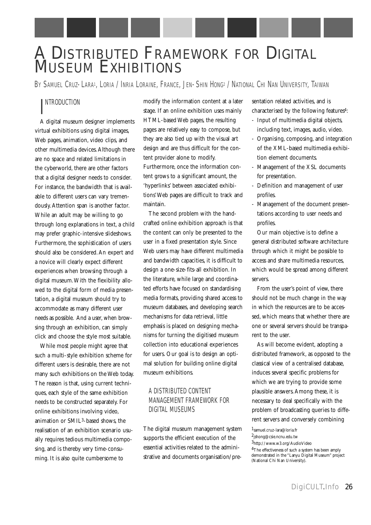### A DISTRIBUTED FRAMEWORK FOR DIGITAL MUSEUM EXHIBITIONS

BY SAMUEL CRUZ-LARA1, LORIA / INRIA LORAINE, FRANCE, JEN-SHIN HONG2 / NATIONAL CHI NAN UNIVERSITY, TAIWAN

#### I NTRODUCTION

A digital museum designer implements virtual exhibitions using digital images, Web pages, animation, video clips, and other multimedia devices. Although there are no space and related limitations in the cyberworld, there are other factors that a digital designer needs to consider. For instance, the bandwidth that is available to different users can vary tremendously. Attention span is another factor. While an adult may be willing to go through long explanations in text, a child may prefer graphic-intensive slideshows. Furthermore, the sophistication of users should also be considered. An expert and a novice will clearly expect different experiences when browsing through a digital museum.With the flexibility allowed to the digital form of media presentation, a digital museum should try to accommodate as many different user needs as possible. And a user, when browsing through an exhibition, can simply click and choose the style most suitable.

While most people might agree that such a multi-style exhibition scheme for different users is desirable, there are not many such exhibitions on the Web today. The reason is that, using current techniques, each style of the same exhibition needs to be constructed separately. For online exhibitions involving video, animation or SMIL3-based shows, the realisation of an exhibition scenario usually requires tedious multimedia composing, and is thereby very time-consuming. It is also quite cumbersome to

modify the information content at a later stage. If an online exhibition uses mainly HTML-based Web pages, the resulting pages are relatively easy to compose, but they are also tied up with the visual art design and are thus difficult for the content provider alone to modify. Furthermore, once the information content grows to a significant amount, the 'hyperlinks' between associated exhibitions'Web pages are difficult to track and maintain.

The second problem with the handcrafted online exhibition approach is that the content can only be presented to the user in a fixed presentation style. Since Web users may have different multimedia and bandwidth capacities, it is difficult to design a one-size-fits-all exhibition. In the literature, while large and coordinated efforts have focused on standardising media formats, providing shared access to museum databases, and developing search mechanisms for data retrieval, little emphasis is placed on designing mechanisms for turning the digitised museum collection into educational experiences for users. Our goal is to design an optimal solution for building online digital museum exhibitions.

#### A DISTRIBUTED CONTENT MANAGEMENT FRAMEWORK FOR DIGITAL MUSEUMS

The digital museum management system supports the efficient execution of the essential activities related to the administrative and documents organisation/presentation related activities, and is characterised by the following features4:

- Input of multimedia digital objects, including text, images, audio, video.
- Organising, composing, and integration of the XML-based multimedia exhibition element documents.
- Management of the XSL documents for presentation.
- Definition and management of user profiles.
- Management of the document presentations according to user needs and profiles.

Our main objective is to define a general distributed software architecture through which it might be possible to access and share multimedia resources, which would be spread among different servers.

From the user's point of view, there should not be much change in the way in which the resources are to be accessed, which means that whether there are one or several servers should be transparent to the user.

As will become evident, adopting a distributed framework, as opposed to the classical view of a centralised database, induces several specific problems for which we are trying to provide some plausible answers. Among these, it is necessary to deal specifically with the problem of broadcasting queries to different servers and conversely combining

<sup>1</sup>samuel.cruz-lara@loria.fr

 $^2$ jshong@csie.ncnu.edu.tw

<sup>3</sup>http://www.w3.org/AudioVideo

<sup>&</sup>lt;sup>4</sup>The effectiveness of such a system has been amply demonstrated in the "Lanyu Digital Museum" project (National Chi Nan University).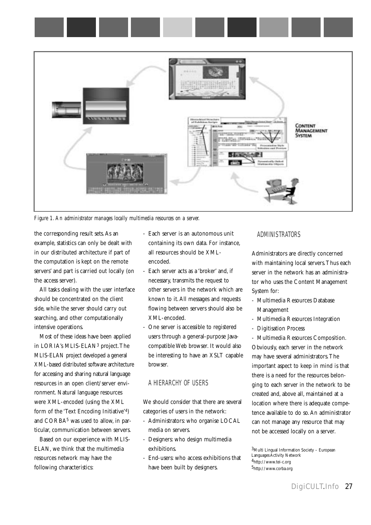

*Figure 1.An administrator manages locally multimedia resources on a server.*

the corresponding result sets. As an example, statistics can only be dealt with in our distributed architecture if part of the computation is kept on the remote servers' and part is carried out locally (on the access server).

All tasks dealing with the user interface should be concentrated on the client side, while the server should carry out searching, and other computationally intensive operations.

Most of these ideas have been applied in LORIA's MLIS-ELAN3 project.The MLIS-ELAN project developed a general XML-based distributed software architecture for accessing and sharing natural language resources in an open client/server environment. Natural language resources were XML-encoded (using the XML form of the 'Text Encoding Initiative'4) and CORBA5 was used to allow, in particular, communication between servers.

Based on our experience with MLIS-ELAN, we think that the multimedia resources network may have the following characteristics:

- Each server is an autonomous unit containing its own data. For instance, all resources should be XMLencoded.
- Each server acts as a 'broker' and, if necessary, transmits the request to other servers in the network which are known to it. All messages and requests flowing between servers should also be XML-encoded.
- One server is accessible to registered users through a general-purpose Javacompatible Web browser. It would also be interesting to have an XSLT capable browser.

#### A HIERARCHY OF USERS

We should consider that there are several categories of users in the network:

- Administrators: who organise LOCAL media on servers.
- Designers: who design multimedia exhibitions.
- End-users: who access exhibitions that have been built by designers.

#### ADMINISTRATORS

Administrators are directly concerned with maintaining local servers.Thus each server in the network has an administrator who uses the Content Management System for:

- Multimedia Resources Database Management
- Multimedia Resources Integration
- Digitisation Process

- Multimedia Resources Composition. Obviously, each server in the network may have several administrators.The important aspect to keep in mind is that there is a need for the resources belonging to each server in the network to be created and, above all, maintained at a location where there is adequate competence available to do so. An administrator can not manage any resource that may not be accessed locally on a server.

3Multi Lingual Information Society – European Languages Activity Network 4http://www.tei-c.org 5http://www.corba.org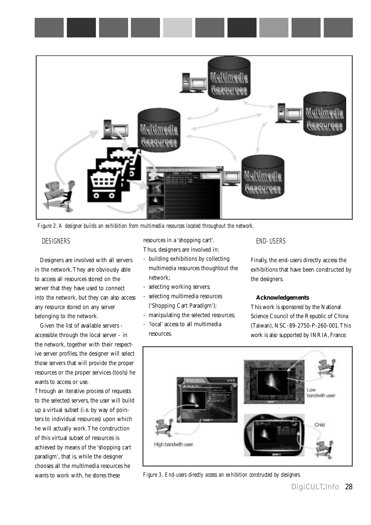

*Figure 2.A designer builds an exhibition from multimedia resources located throughout the network.*

#### DESIGNERS

Designers are involved with all servers in the network.They are obviously able to access all resources stored on the server that they have used to connect into the network, but they can also access any resource stored on any server belonging to the network.

Given the list of available servers accessible through the local server - in the network, together with their respective server profiles, the designer will select those servers that will provide the proper resources or the proper services (tools) he wants to access or use.

Through an iterative process of requests to the selected servers, the user will build up a virtual subset (i.e. by way of pointers to individual resources) upon which he will actually work.The construction of this virtual subset of resources is achieved by means of the 'shopping cart paradigm', that is, while the designer chooses all the multimedia resources he wants to work with, he stores these

resources in a 'shopping cart'. Thus, designers are involved in:

- building exhibitions by collecting multimedia resources thoughtout the network;
- selecting working servers;
- selecting multimedia resources ('Shopping Cart Paradigm');
- manipulating the selected resources;
- 'local' access to all multimedia resources.

#### END-USERS

Finally, the end-users directly access the exhibitions that have been constructed by the designers.

#### **Acknowledgements**

This work is sponsored by the National Science Council of the Republic of China (Taiwan), NSC-89-2750-P-260-001.This work is also supported by INRIA, France.



*Figure 3. End-users directly access an exhibition constructed by designers.*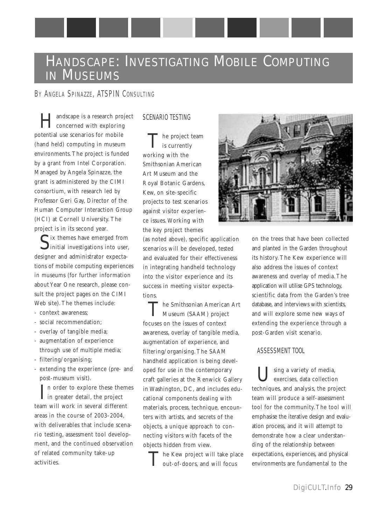### HANDSCAPE: INVESTIGATING MOBILE COMPUTING IN MUSEUMS

#### BY ANGELA SPINAZZE, ATSPIN CONSULTING

Handscape is a research project concerned with exploring potential use scenarios for mobile (hand held) computing in museum environments. The project is funded by a grant from Intel Corporation. Managed by Angela Spinazze, the grant is administered by the CIMI consortium, with research led by Professor Geri Gay, Director of the Human Computer Interaction Group (HCI) at Cornell University. The project is in its second year.

 $\int$  ix themes have emerged from<br>initial investigations into user, designer and administrator expectations of mobile computing experiences in museums (for further information about Year One research, please consult the project pages on the CIMI Web site). The themes include:

- context awareness;
- social recommendation;
- overlay of tangible media;
- augmentation of experience through use of multiple media;
- filtering/organising;
- extending the experience (pre- and post-museum visit).

 $\prod$ n order to explore these themes<br>in greater detail, the project  $\mathbf{I}$  in greater detail, the project team will work in several different areas in the course of 2003-2004, with deliverables that include scenario testing, assessment tool development, and the continued observation of related community take-up activities.

#### SCENARIO TESTING

The project team is currently working with the Smithsonian American Art Museum and the Royal Botanic Gardens, Kew, on site-specific projects to test scenarios against visitor experience issues. Working with the key project themes

(as noted above), specific application scenarios will be developed, tested and evaluated for their effectiveness in integrating handheld technology into the visitor experience and its success in meeting visitor expectations.

The Smithsonian American Art Museum (SAAM) project focuses on the issues of context awareness, overlay of tangible media, augmentation of experience, and filtering/organising. The SAAM handheld application is being developed for use in the contemporary craft galleries at the Renwick Gallery in Washington, DC, and includes educational components dealing with materials, process, technique, encounters with artists, and secrets of the objects, a unique approach to connecting visitors with facets of the objects hidden from view.

The Kew project will take place out-of-doors, and will focus



on the trees that have been collected and planted in the Garden throughout its history. The Kew experience will also address the issues of context awareness and overlay of media. The application will utilise GPS technology, scientific data from the Garden's tree database, and interviews with scientists, and will explore some new ways of extending the experience through a post-Garden visit scenario.

#### ASSESSMENT TOOL

 $\mathsf{T}$  sing a variety of media, exercises, data collection techniques, and analysis, the project team will produce a self-assessment tool for the community. The tool will emphasise the iterative design and evaluation process, and it will attempt to demonstrate how a clear understanding of the relationship between expectations, experiences, and physical environments are fundamental to the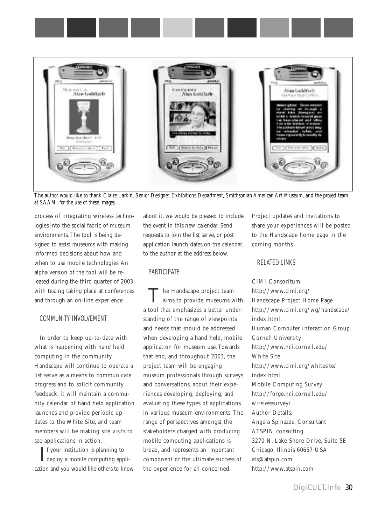



*The author would like to thank Claire Larkin, Senior Designer, Exhibitions Department, Smithsonian American Art Museum, and the project team at SAAM, for the use of these images.*

process of integrating wireless technologies into the social fabric of museum environments.The tool is being designed to assist museums with making informed decisions about how and when to use mobile technologies. An alpha version of the tool will be released during the third quarter of 2003 with testing taking place at conferences and through an on-line experience.

#### COMMUNITY INVOLVEMENT

In order to keep up-to-date with what is happening with hand held computing in the community, Handscape will continue to operate a list serve as a means to communicate progress and to solicit community feedback, it will maintain a community calendar of hand held application launches and provide periodic updates to the White Site, and team members will be making site visits to see applications in action.

If your institution is planning to<br>deploy a mobile computing appli-**T** f your institution is planning to cation and you would like others to know about it, we would be pleased to include the event in this new calendar. Send requests to join the list serve, or post application launch dates on the calendar, to the author at the address below.

#### **PARTICIPATE**

The Handscape project team aims to provide museums with a tool that emphasizes a better understanding of the range of viewpoints and needs that should be addressed when developing a hand held, mobile application for museum use. Towards that end, and throughout 2003, the project team will be engaging museum professionals through surveys and conversations, about their experiences developing, deploying, and evaluating these types of applications in various museum environments. The range of perspectives amongst the stakeholders charged with producing mobile computing applications is broad, and represents an important component of the ultimate success of the experience for all concerned.

Project updates and invitations to share your experiences will be posted to the Handscape home page in the coming months.

#### RELATED LINKS

CIMI Consoritum <http://www.cimi.org/> Handscape Project Home Page <http://www.cimi.org/wg/handscape/> index.html. Human Computer Interaction Group, Cornell University <http://www.hci.cornell.edu/> White Site <http://www.cimi.org/whitesite/> index.html Mobile Computing Survey <http://forge.hci.cornell.edu/> wirelesssurvey/ Author Details: Angela Spinazze, Consultant ATSPIN consulting 3270 N. Lake Shore Drive, Suite 5E Chicago, Illinois 60657 USA ats@atspin.com <http://www.atspin.com>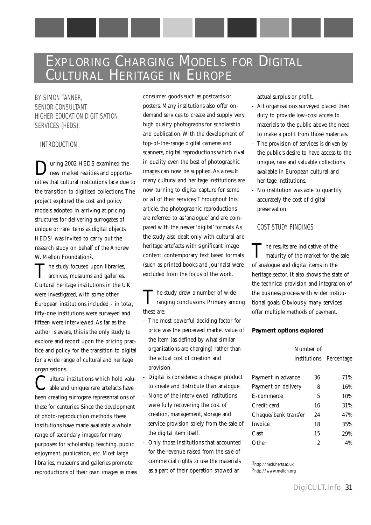### EXPLORING CHARGING MODELS FOR DIGITAL CULTURAL HERITAGE IN EUROPE

BY SIMON TANNER, SENIOR CONSULTANT, HIGHER EDUCATION DIGITISATION SERVICES (HEDS).

#### INTRODUCTION

During 2002 HEDS examined the new market realities and opportunities that cultural institutions face due to the transition to digitised collections.The project explored the cost and policy models adopted in arriving at pricing structures for delivering surrogates of unique or rare items as digital objects. HEDS1 was invited to carry out the research study on behalf of the Andrew W. Mellon Foundation2.

The study focused upon libraries,<br>archives, museums and galleries. Cultural heritage institutions in the UK were investigated, with some other European institutions included - in total, fifty-one institutions were surveyed and fifteen were interviewed. As far as the author is aware, this is the only study to explore and report upon the pricing practice and policy for the transition to digital for a wide range of cultural and heritage organisations.

Uutural institutions which hold valuable and unique/rare artefacts have been creating surrogate representations of these for centuries. Since the development of photo-reproduction methods, these institutions have made available a whole range of secondary images for many purposes: for scholarship, teaching, public enjoyment, publication, etc. Most large libraries, museums and galleries promote reproductions of their own images as mass consumer goods such as postcards or posters. Many institutions also offer ondemand services to create and supply very high quality photographs for scholarship and publication.With the development of top-of-the-range digital cameras and scanners, digital reproductions which rival in quality even the best of photographic images can now be supplied. As a result many cultural and heritage institutions are now turning to digital capture for some or all of their services.Throughout this article, the photographic reproductions are referred to as 'analogue' and are compared with the newer 'digital' formats. As the study also dealt only with cultural and heritage artefacts with significant image content, contemporary text based formats (such as printed books and journals) were excluded from the focus of the work.

The study drew a number of wide-<br>
ranging conclusions. Primary among these are:

- The most powerful deciding factor for price was the perceived market value of the item (as defined by what similar organisations are charging) rather than the actual cost of creation and provision.
- Digital is considered a cheaper product to create and distribute than analogue.
- None of the interviewed institutions were fully recovering the cost of creation, management, storage and service provision solely from the sale of the digital item itself.
- Only those institutions that accounted for the revenue raised from the sale of commercial rights to use the materials as a part of their operation showed an

actual surplus or profit.

- All organisations surveyed placed their duty to provide low-cost access to materials to the public above the need to make a profit from those materials.
- The provision of services is driven by the public's desire to have access to the unique, rare and valuable collections available in European cultural and heritage institutions.
- No institution was able to quantify accurately the cost of digital preservation.

#### COST STUDY FINDINGS

The results are indicative of the<br>maturity of the market for the sale of analogue and digital items in the heritage sector. It also shows the state of the technical provision and integration of the business process with wider institutional goals. Obviously many services offer multiple methods of payment.

#### **Payment options explored**

#### Number of institutions Percentage

| Payment in advance   | 36 | 71%   |
|----------------------|----|-------|
| Payment on delivery  | 8  | 16%   |
| E-commerce           | 5  | 10%   |
| Credit card          | 16 | 31%   |
| Cheque/bank transfer | 24 | 47%   |
| Invoice              | 18 | 35%   |
| Cash                 | 15 | 29%   |
| Other                | 2  | $4\%$ |

1http://heds.herts.ac.uk 2http://www.mellon.org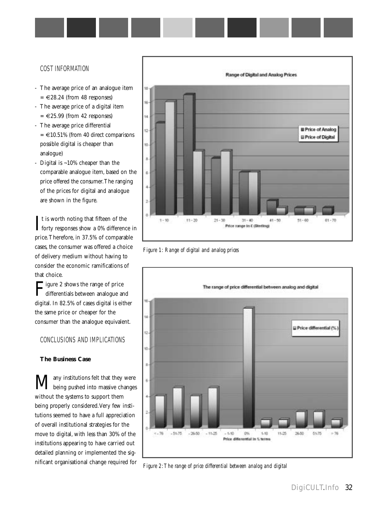#### COST INFORMATION

- The average price of an analogue item  $= \epsilon 28.24$  (from 48 responses)
- The average price of a digital item  $=$   $\in$  25.99 (from 42 responses)
- The average price differential  $=$   $\in$  10.51% (from 40 direct comparisons possible digital is cheaper than analogue)
- Digital is ~10% cheaper than the comparable analogue item, based on the price offered the consumer.The ranging of the prices for digital and analogue are shown in the figure.

 $\int$ t is worth noting that fifteen of the forty responses show a 0% difference in  $\mathsf{T}$ t is worth noting that fifteen of the price.Therefore, in 37.5% of comparable cases, the consumer was offered a choice of delivery medium without having to consider the economic ramifications of that choice.

**Tigure 2 shows the range of price** differentials between analogue and digital. In 82.5% of cases digital is either the same price or cheaper for the consumer than the analogue equivalent.

#### CONCLUSIONS AND IMPLICATIONS

#### **The Business Case**

 $\mathbf{M}$ any institutions felt that they were<br>being pushed into massive changes without the systems to support them being properly considered.Very few institutions seemed to have a full appreciation of overall institutional strategies for the move to digital, with less than 30% of the institutions appearing to have carried out detailed planning or implemented the significant organisational change required for



*Figure 1: Range of digital and analog prices*



*Figure 2:The range of price differential between analog and digital*